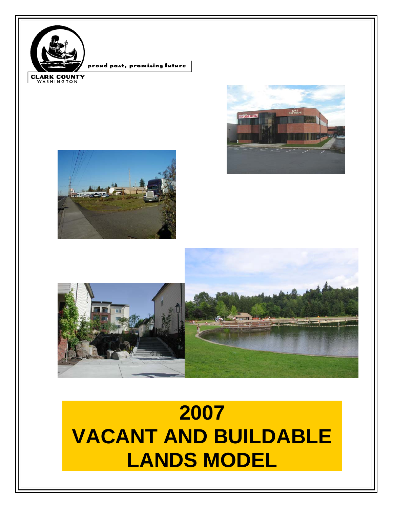







# **2007 VACANT AND BUILDABLE LANDS MODEL**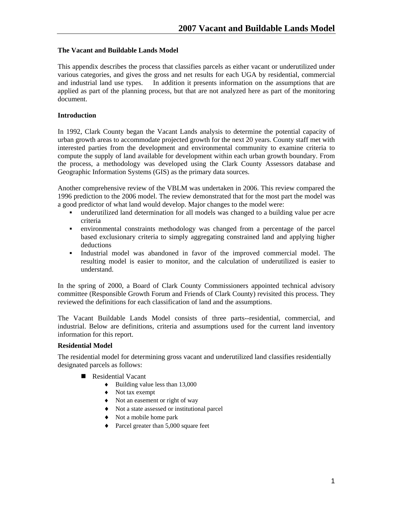## **The Vacant and Buildable Lands Model**

This appendix describes the process that classifies parcels as either vacant or underutilized under various categories, and gives the gross and net results for each UGA by residential, commercial and industrial land use types. In addition it presents information on the assumptions that are applied as part of the planning process, but that are not analyzed here as part of the monitoring document.

## **Introduction**

In 1992, Clark County began the Vacant Lands analysis to determine the potential capacity of urban growth areas to accommodate projected growth for the next 20 years. County staff met with interested parties from the development and environmental community to examine criteria to compute the supply of land available for development within each urban growth boundary. From the process, a methodology was developed using the Clark County Assessors database and Geographic Information Systems (GIS) as the primary data sources.

Another comprehensive review of the VBLM was undertaken in 2006. This review compared the 1996 prediction to the 2006 model. The review demonstrated that for the most part the model was a good predictor of what land would develop. Major changes to the model were:

- underutilized land determination for all models was changed to a building value per acre criteria
- environmental constraints methodology was changed from a percentage of the parcel based exclusionary criteria to simply aggregating constrained land and applying higher deductions
- Industrial model was abandoned in favor of the improved commercial model. The resulting model is easier to monitor, and the calculation of underutilized is easier to understand.

In the spring of 2000, a Board of Clark County Commissioners appointed technical advisory committee (Responsible Growth Forum and Friends of Clark County) revisited this process. They reviewed the definitions for each classification of land and the assumptions.

The Vacant Buildable Lands Model consists of three parts--residential, commercial, and industrial. Below are definitions, criteria and assumptions used for the current land inventory information for this report.

#### **Residential Model**

The residential model for determining gross vacant and underutilized land classifies residentially designated parcels as follows:

- Residential Vacant
	- $\bullet$  Building value less than 13,000
	- ♦ Not tax exempt
	- ♦ Not an easement or right of way
	- ♦ Not a state assessed or institutional parcel
	- ♦ Not a mobile home park
	- ♦ Parcel greater than 5,000 square feet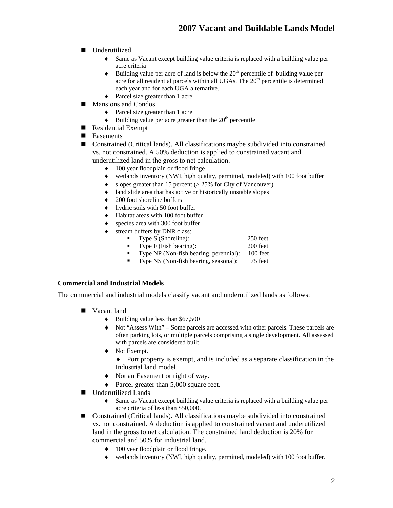- **Underutilized** 
	- ♦ Same as Vacant except building value criteria is replaced with a building value per acre criteria
	- $\bullet$  Building value per acre of land is below the 20<sup>th</sup> percentile of building value per acre for all residential parcels within all UGAs. The 20<sup>th</sup> percentile is determined each year and for each UGA alternative.
	- ♦ Parcel size greater than 1 acre.
- **Mansions and Condos** 
	- ♦ Parcel size greater than 1 acre
	- $\blacklozenge$  Building value per acre greater than the 20<sup>th</sup> percentile
- Residential Exempt
- Easements
- Constrained (Critical lands). All classifications maybe subdivided into constrained vs. not constrained. A 50% deduction is applied to constrained vacant and underutilized land in the gross to net calculation.
	- ♦ 100 year floodplain or flood fringe
	- ♦ wetlands inventory (NWI, high quality, permitted, modeled) with 100 foot buffer
	- $\bullet$  slopes greater than 15 percent ( $> 25\%$  for City of Vancouver)
	- ♦ land slide area that has active or historically unstable slopes
	- $\triangleleft$  200 foot shoreline buffers
	- hydric soils with 50 foot buffer
	- Habitat areas with 100 foot buffer
	- species area with 300 foot buffer
	- stream buffers by DNR class:
		- Type S (Shoreline): 250 feet
		- Type F (Fish bearing): 200 feet
		- Type NP (Non-fish bearing, perennial): 100 feet
		- Type NS (Non-fish bearing, seasonal): 75 feet

#### **Commercial and Industrial Models**

The commercial and industrial models classify vacant and underutilized lands as follows:

- **Vacant land** 
	- ♦ Building value less than \$67,500
	- ♦ Not "Assess With" Some parcels are accessed with other parcels. These parcels are often parking lots, or multiple parcels comprising a single development. All assessed with parcels are considered built.
	- ♦ Not Exempt.
		- ♦ Port property is exempt, and is included as a separate classification in the Industrial land model.
	- ♦ Not an Easement or right of way.
	- ♦ Parcel greater than 5,000 square feet.
- Underutilized Lands
	- ♦ Same as Vacant except building value criteria is replaced with a building value per acre criteria of less than \$50,000.
- Constrained (Critical lands). All classifications maybe subdivided into constrained vs. not constrained. A deduction is applied to constrained vacant and underutilized land in the gross to net calculation. The constrained land deduction is 20% for commercial and 50% for industrial land.
	- ♦ 100 year floodplain or flood fringe.
	- ♦ wetlands inventory (NWI, high quality, permitted, modeled) with 100 foot buffer.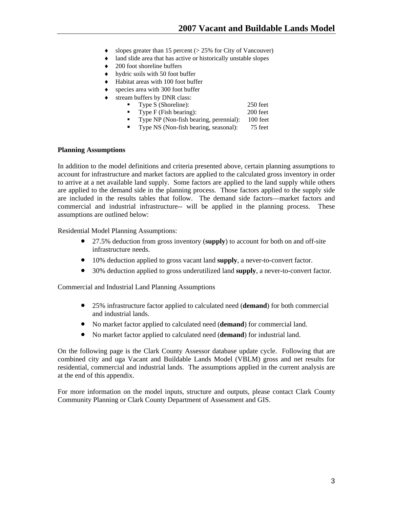- slopes greater than 15 percent ( $> 25\%$  for City of Vancouver)
- land slide area that has active or historically unstable slopes
- 200 foot shoreline buffers
- $\bullet$  hydric soils with 50 foot buffer
- Habitat areas with 100 foot buffer
- species area with 300 foot buffer
- stream buffers by DNR class:

| Type S (Shoreline):    | 250 feet |
|------------------------|----------|
| Type F (Fish bearing): | 200 feet |

- **Type NP** (Non-fish bearing, perennial): 100 feet
- Type NS (Non-fish bearing, seasonal): 75 feet

#### **Planning Assumptions**

In addition to the model definitions and criteria presented above, certain planning assumptions to account for infrastructure and market factors are applied to the calculated gross inventory in order to arrive at a net available land supply. Some factors are applied to the land supply while others are applied to the demand side in the planning process. Those factors applied to the supply side are included in the results tables that follow. The demand side factors—market factors and commercial and industrial infrastructure-- will be applied in the planning process. These assumptions are outlined below:

Residential Model Planning Assumptions:

- 27.5% deduction from gross inventory (**supply**) to account for both on and off-site infrastructure needs.
- 10% deduction applied to gross vacant land **supply**, a never-to-convert factor.
- 30% deduction applied to gross underutilized land **supply**, a never-to-convert factor.

Commercial and Industrial Land Planning Assumptions

- 25% infrastructure factor applied to calculated need (**demand**) for both commercial and industrial lands.
- No market factor applied to calculated need (**demand**) for commercial land.
- No market factor applied to calculated need (**demand**) for industrial land.

On the following page is the Clark County Assessor database update cycle. Following that are combined city and uga Vacant and Buildable Lands Model (VBLM) gross and net results for residential, commercial and industrial lands. The assumptions applied in the current analysis are at the end of this appendix.

For more information on the model inputs, structure and outputs, please contact Clark County Community Planning or Clark County Department of Assessment and GIS.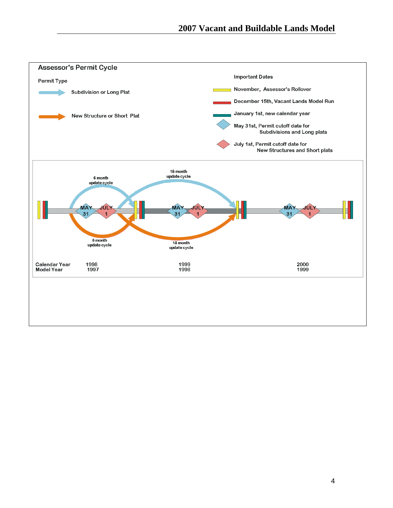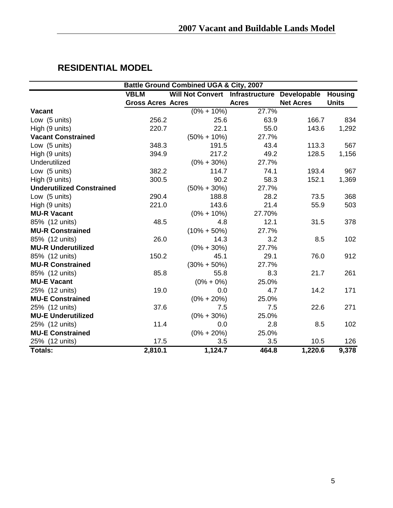| <b>Battle Ground Combined UGA &amp; City, 2007</b> |                          |                         |                            |                  |                |
|----------------------------------------------------|--------------------------|-------------------------|----------------------------|------------------|----------------|
|                                                    | <b>VBLM</b>              | <b>Will Not Convert</b> | Infrastructure Developable |                  | <b>Housing</b> |
|                                                    | <b>Gross Acres Acres</b> |                         | <b>Acres</b>               | <b>Net Acres</b> | <b>Units</b>   |
| <b>Vacant</b>                                      |                          | $(0\% + 10\%)$          | 27.7%                      |                  |                |
| Low (5 units)                                      | 256.2                    | 25.6                    | 63.9                       | 166.7            | 834            |
| High (9 units)                                     | 220.7                    | 22.1                    | 55.0                       | 143.6            | 1,292          |
| <b>Vacant Constrained</b>                          |                          | $(50\% + 10\%)$         | 27.7%                      |                  |                |
| Low (5 units)                                      | 348.3                    | 191.5                   | 43.4                       | 113.3            | 567            |
| High (9 units)                                     | 394.9                    | 217.2                   | 49.2                       | 128.5            | 1,156          |
| Underutilized                                      |                          | $(0\% + 30\%)$          | 27.7%                      |                  |                |
| Low (5 units)                                      | 382.2                    | 114.7                   | 74.1                       | 193.4            | 967            |
| High (9 units)                                     | 300.5                    | 90.2                    | 58.3                       | 152.1            | 1,369          |
| <b>Underutilized Constrained</b>                   |                          | $(50\% + 30\%)$         | 27.7%                      |                  |                |
| Low (5 units)                                      | 290.4                    | 188.8                   | 28.2                       | 73.5             | 368            |
| High (9 units)                                     | 221.0                    | 143.6                   | 21.4                       | 55.9             | 503            |
| <b>MU-R Vacant</b>                                 |                          | $(0\% + 10\%)$          | 27.70%                     |                  |                |
| 85% (12 units)                                     | 48.5                     | 4.8                     | 12.1                       | 31.5             | 378            |
| <b>MU-R Constrained</b>                            |                          | $(10\% + 50\%)$         | 27.7%                      |                  |                |
| 85% (12 units)                                     | 26.0                     | 14.3                    | 3.2                        | 8.5              | 102            |
| <b>MU-R Underutilized</b>                          |                          | $(0\% + 30\%)$          | 27.7%                      |                  |                |
| 85% (12 units)                                     | 150.2                    | 45.1                    | 29.1                       | 76.0             | 912            |
| <b>MU-R Constrained</b>                            |                          | $(30\% + 50\%)$         | 27.7%                      |                  |                |
| 85% (12 units)                                     | 85.8                     | 55.8                    | 8.3                        | 21.7             | 261            |
| <b>MU-E Vacant</b>                                 |                          | $(0\% + 0\%)$           | 25.0%                      |                  |                |
| 25% (12 units)                                     | 19.0                     | 0.0                     | 4.7                        | 14.2             | 171            |
| <b>MU-E Constrained</b>                            |                          | $(0\% + 20\%)$          | 25.0%                      |                  |                |
| 25% (12 units)                                     | 37.6                     | 7.5                     | 7.5                        | 22.6             | 271            |
| <b>MU-E Underutilized</b>                          |                          | $(0\% + 30\%)$          | 25.0%                      |                  |                |
| 25% (12 units)                                     | 11.4                     | 0.0                     | 2.8                        | 8.5              | 102            |
| <b>MU-E Constrained</b>                            |                          | $(0\% + 20\%)$          | 25.0%                      |                  |                |
| 25% (12 units)                                     | 17.5                     | 3.5                     | 3.5                        | 10.5             | 126            |
| Totals:                                            | 2,810.1                  | 1,124.7                 | 464.8                      | 1,220.6          | 9,378          |

## **RESIDENTIAL MODEL**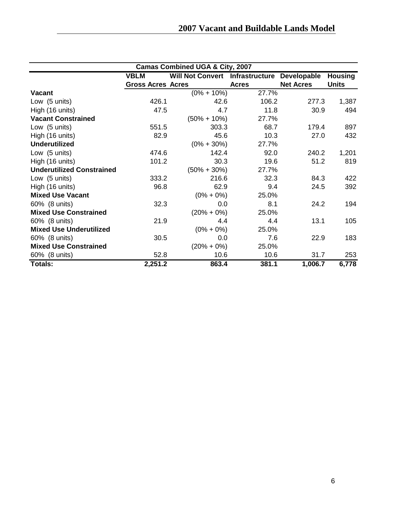| <b>Camas Combined UGA &amp; City, 2007</b> |                          |                                        |              |                  |                |
|--------------------------------------------|--------------------------|----------------------------------------|--------------|------------------|----------------|
|                                            | <b>VBLM</b>              | <b>Will Not Convert Infrastructure</b> |              | Developable      | <b>Housing</b> |
|                                            | <b>Gross Acres Acres</b> |                                        | <b>Acres</b> | <b>Net Acres</b> | <b>Units</b>   |
| <b>Vacant</b>                              |                          | $(0\% + 10\%)$                         | 27.7%        |                  |                |
| Low (5 units)                              | 426.1                    | 42.6                                   | 106.2        | 277.3            | 1,387          |
| High (16 units)                            | 47.5                     | 4.7                                    | 11.8         | 30.9             | 494            |
| <b>Vacant Constrained</b>                  |                          | $(50\% + 10\%)$                        | 27.7%        |                  |                |
| Low (5 units)                              | 551.5                    | 303.3                                  | 68.7         | 179.4            | 897            |
| High (16 units)                            | 82.9                     | 45.6                                   | 10.3         | 27.0             | 432            |
| <b>Underutilized</b>                       |                          | $(0\% + 30\%)$                         | 27.7%        |                  |                |
| Low (5 units)                              | 474.6                    | 142.4                                  | 92.0         | 240.2            | 1,201          |
| High (16 units)                            | 101.2                    | 30.3                                   | 19.6         | 51.2             | 819            |
| <b>Underutilized Constrained</b>           |                          | $(50\% + 30\%)$                        | 27.7%        |                  |                |
| Low (5 units)                              | 333.2                    | 216.6                                  | 32.3         | 84.3             | 422            |
| High (16 units)                            | 96.8                     | 62.9                                   | 9.4          | 24.5             | 392            |
| <b>Mixed Use Vacant</b>                    |                          | $(0\% + 0\%)$                          | 25.0%        |                  |                |
| 60% (8 units)                              | 32.3                     | 0.0                                    | 8.1          | 24.2             | 194            |
| <b>Mixed Use Constrained</b>               |                          | $(20\% + 0\%)$                         | 25.0%        |                  |                |
| 60% (8 units)                              | 21.9                     | 4.4                                    | 4.4          | 13.1             | 105            |
| <b>Mixed Use Underutilized</b>             |                          | $(0\% + 0\%)$                          | 25.0%        |                  |                |
| 60% (8 units)                              | 30.5                     | 0.0                                    | 7.6          | 22.9             | 183            |
| <b>Mixed Use Constrained</b>               |                          | $(20\% + 0\%)$                         | 25.0%        |                  |                |
| 60% (8 units)                              | 52.8                     | 10.6                                   | 10.6         | 31.7             | 253            |
| Totals:                                    | 2,251.2                  | 863.4                                  | 381.1        | 1,006.7          | 6,778          |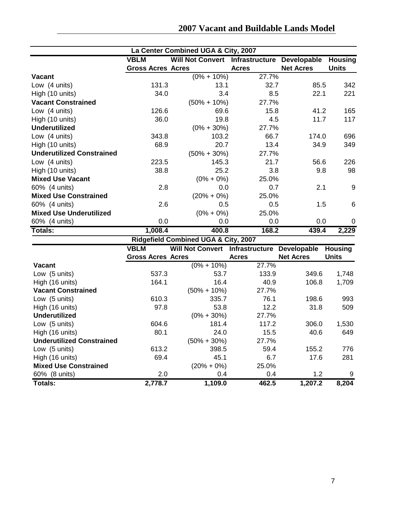|                                  |                          | La Center Combined UGA & City, 2007         |              |                  |                 |
|----------------------------------|--------------------------|---------------------------------------------|--------------|------------------|-----------------|
|                                  | <b>VBLM</b>              | Will Not Convert Infrastructure Developable |              |                  | <b>Housing</b>  |
|                                  | <b>Gross Acres Acres</b> |                                             | <b>Acres</b> | <b>Net Acres</b> | <b>Units</b>    |
| <b>Vacant</b>                    |                          | $(0\% + 10\%)$                              | 27.7%        |                  |                 |
| Low (4 units)                    | 131.3                    | 13.1                                        | 32.7         | 85.5             | 342             |
| High (10 units)                  | 34.0                     | 3.4                                         | 8.5          | 22.1             | 221             |
| <b>Vacant Constrained</b>        |                          | $(50\% + 10\%)$                             | 27.7%        |                  |                 |
| Low (4 units)                    | 126.6                    | 69.6                                        | 15.8         | 41.2             | 165             |
| High (10 units)                  | 36.0                     | 19.8                                        | 4.5          | 11.7             | 117             |
| <b>Underutilized</b>             |                          | $(0\% + 30\%)$                              | 27.7%        |                  |                 |
| Low (4 units)                    | 343.8                    | 103.2                                       | 66.7         | 174.0            | 696             |
| High (10 units)                  | 68.9                     | 20.7                                        | 13.4         | 34.9             | 349             |
| <b>Underutilized Constrained</b> |                          | $(50\% + 30\%)$                             | 27.7%        |                  |                 |
| Low (4 units)                    | 223.5                    | 145.3                                       | 21.7         | 56.6             | 226             |
| High (10 units)                  | 38.8                     | 25.2                                        | 3.8          | 9.8              | 98              |
| <b>Mixed Use Vacant</b>          |                          | $(0\% + 0\%)$                               | 25.0%        |                  |                 |
| 60% (4 units)                    | 2.8                      | 0.0                                         | 0.7          | 2.1              | 9               |
| <b>Mixed Use Constrained</b>     |                          | $(20\% + 0\%)$                              | 25.0%        |                  |                 |
| 60% (4 units)                    | 2.6                      | 0.5                                         | 0.5          | 1.5              | $6\phantom{1}6$ |
| <b>Mixed Use Underutilized</b>   |                          | $(0\% + 0\%)$                               | 25.0%        |                  |                 |
| 60% (4 units)                    | 0.0                      | 0.0                                         | 0.0          | 0.0              | $\mathbf 0$     |
| Totals:                          | 1,008.4                  | 400.8                                       | 168.2        | 439.4            | 2,229           |
|                                  |                          | Ridgefield Combined UGA & City, 2007        |              |                  |                 |
|                                  | <b>VBLM</b>              | <b>Will Not Convert Infrastructure</b>      |              | Developable      | <b>Housing</b>  |
|                                  | <b>Gross Acres Acres</b> |                                             | <b>Acres</b> | <b>Net Acres</b> | <b>Units</b>    |
| <b>Vacant</b>                    |                          | $(0\% + 10\%)$                              | 27.7%        |                  |                 |
| Low (5 units)                    | 537.3                    | 53.7                                        | 133.9        | 349.6            | 1,748           |
| High (16 units)                  | 164.1                    | 16.4                                        | 40.9         | 106.8            | 1,709           |
| <b>Vacant Constrained</b>        |                          | $(50\% + 10\%)$                             | 27.7%        |                  |                 |
| Low (5 units)                    | 610.3                    | 335.7                                       | 76.1         | 198.6            | 993             |
| High (16 units)                  | 97.8                     | 53.8                                        | 12.2         | 31.8             | 509             |
| <b>Underutilized</b>             |                          | $(0\% + 30\%)$                              | 27.7%        |                  |                 |
| Low (5 units)                    | 604.6                    | 181.4                                       | 117.2        | 306.0            | 1,530           |
| High (16 units)                  | 80.1                     | 24.0                                        | 15.5         | 40.6             | 649             |
| <b>Underutilized Constrained</b> |                          | $(50\% + 30\%)$                             | 27.7%        |                  |                 |
| Low (5 units)                    | 613.2                    | 398.5                                       | 59.4         | 155.2            | 776             |
| High (16 units)                  | 69.4                     | 45.1                                        | 6.7          | 17.6             | 281             |
| <b>Mixed Use Constrained</b>     |                          | $(20\% + 0\%)$                              | 25.0%        |                  |                 |
| 60% (8 units)                    | 2.0                      | 0.4                                         | 0.4          | 1.2              | 9               |
| <b>Totals:</b>                   | 2,778.7                  | 1,109.0                                     | 462.5        | 1,207.2          | 8,204           |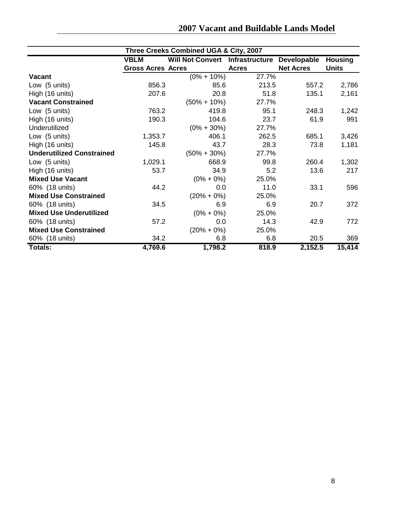| Three Creeks Combined UGA & City, 2007 |                          |                         |                |                  |                |
|----------------------------------------|--------------------------|-------------------------|----------------|------------------|----------------|
|                                        | <b>VBLM</b>              | <b>Will Not Convert</b> | Infrastructure | Developable      | <b>Housing</b> |
|                                        | <b>Gross Acres Acres</b> |                         | <b>Acres</b>   | <b>Net Acres</b> | <b>Units</b>   |
| <b>Vacant</b>                          |                          | $(0\% + 10\%)$          | 27.7%          |                  |                |
| Low (5 units)                          | 856.3                    | 85.6                    | 213.5          | 557.2            | 2,786          |
| High (16 units)                        | 207.6                    | 20.8                    | 51.8           | 135.1            | 2,161          |
| <b>Vacant Constrained</b>              |                          | $(50\% + 10\%)$         | 27.7%          |                  |                |
| Low (5 units)                          | 763.2                    | 419.8                   | 95.1           | 248.3            | 1,242          |
| High (16 units)                        | 190.3                    | 104.6                   | 23.7           | 61.9             | 991            |
| Underutilized                          |                          | $(0\% + 30\%)$          | 27.7%          |                  |                |
| Low (5 units)                          | 1,353.7                  | 406.1                   | 262.5          | 685.1            | 3,426          |
| High (16 units)                        | 145.8                    | 43.7                    | 28.3           | 73.8             | 1,181          |
| <b>Underutilized Constrained</b>       |                          | $(50\% + 30\%)$         | 27.7%          |                  |                |
| Low (5 units)                          | 1,029.1                  | 668.9                   | 99.8           | 260.4            | 1,302          |
| High (16 units)                        | 53.7                     | 34.9                    | 5.2            | 13.6             | 217            |
| <b>Mixed Use Vacant</b>                |                          | $(0\% + 0\%)$           | 25.0%          |                  |                |
| 60% (18 units)                         | 44.2                     | 0.0                     | 11.0           | 33.1             | 596            |
| <b>Mixed Use Constrained</b>           |                          | $(20\% + 0\%)$          | 25.0%          |                  |                |
| 60% (18 units)                         | 34.5                     | 6.9                     | 6.9            | 20.7             | 372            |
| <b>Mixed Use Underutilized</b>         |                          | $(0\% + 0\%)$           | 25.0%          |                  |                |
| 60% (18 units)                         | 57.2                     | 0.0                     | 14.3           | 42.9             | 772            |
| <b>Mixed Use Constrained</b>           |                          | $(20\% + 0\%)$          | 25.0%          |                  |                |
| 60% (18 units)                         | 34.2                     | 6.8                     | 6.8            | 20.5             | 369            |
| Totals:                                | 4,769.6                  | 1,798.2                 | 818.9          | 2,152.5          | 15,414         |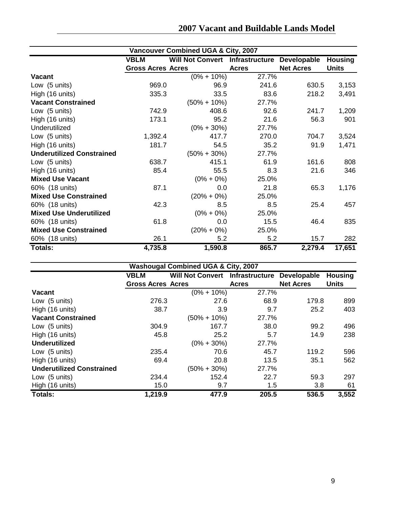| Vancouver Combined UGA & City, 2007 |                          |                                        |              |                  |                |
|-------------------------------------|--------------------------|----------------------------------------|--------------|------------------|----------------|
|                                     | <b>VBLM</b>              | <b>Will Not Convert Infrastructure</b> |              | Developable      | <b>Housing</b> |
|                                     | <b>Gross Acres Acres</b> |                                        | <b>Acres</b> | <b>Net Acres</b> | <b>Units</b>   |
| <b>Vacant</b>                       |                          | $(0\% + 10\%)$                         | 27.7%        |                  |                |
| Low (5 units)                       | 969.0                    | 96.9                                   | 241.6        | 630.5            | 3,153          |
| High (16 units)                     | 335.3                    | 33.5                                   | 83.6         | 218.2            | 3,491          |
| <b>Vacant Constrained</b>           |                          | $(50\% + 10\%)$                        | 27.7%        |                  |                |
| Low (5 units)                       | 742.9                    | 408.6                                  | 92.6         | 241.7            | 1,209          |
| High (16 units)                     | 173.1                    | 95.2                                   | 21.6         | 56.3             | 901            |
| Underutilized                       |                          | $(0\% + 30\%)$                         | 27.7%        |                  |                |
| Low (5 units)                       | 1,392.4                  | 417.7                                  | 270.0        | 704.7            | 3,524          |
| High (16 units)                     | 181.7                    | 54.5                                   | 35.2         | 91.9             | 1,471          |
| <b>Underutilized Constrained</b>    |                          | $(50\% + 30\%)$                        | 27.7%        |                  |                |
| Low (5 units)                       | 638.7                    | 415.1                                  | 61.9         | 161.6            | 808            |
| High (16 units)                     | 85.4                     | 55.5                                   | 8.3          | 21.6             | 346            |
| <b>Mixed Use Vacant</b>             |                          | $(0\% + 0\%)$                          | 25.0%        |                  |                |
| 60% (18 units)                      | 87.1                     | 0.0                                    | 21.8         | 65.3             | 1,176          |
| <b>Mixed Use Constrained</b>        |                          | $(20\% + 0\%)$                         | 25.0%        |                  |                |
| 60% (18 units)                      | 42.3                     | 8.5                                    | 8.5          | 25.4             | 457            |
| <b>Mixed Use Underutilized</b>      |                          | $(0\% + 0\%)$                          | 25.0%        |                  |                |
| 60% (18 units)                      | 61.8                     | 0.0                                    | 15.5         | 46.4             | 835            |
| <b>Mixed Use Constrained</b>        |                          | $(20\% + 0\%)$                         | 25.0%        |                  |                |
| 60% (18 units)                      | 26.1                     | 5.2                                    | 5.2          | 15.7             | 282            |
| Totals:                             | 4,735.8                  | 1,590.8                                | 865.7        | 2,279.4          | 17,651         |

|                                  | <b>Washougal Combined UGA &amp; City, 2007</b> |                                        |              |                  |                |
|----------------------------------|------------------------------------------------|----------------------------------------|--------------|------------------|----------------|
|                                  | <b>VBLM</b>                                    | <b>Will Not Convert Infrastructure</b> |              | Developable      | <b>Housing</b> |
|                                  | <b>Gross Acres Acres</b>                       |                                        | <b>Acres</b> | <b>Net Acres</b> | <b>Units</b>   |
| <b>Vacant</b>                    |                                                | $(0\% + 10\%)$                         | 27.7%        |                  |                |
| Low (5 units)                    | 276.3                                          | 27.6                                   | 68.9         | 179.8            | 899            |
| High (16 units)                  | 38.7                                           | 3.9                                    | 9.7          | 25.2             | 403            |
| <b>Vacant Constrained</b>        |                                                | $(50\% + 10\%)$                        | 27.7%        |                  |                |
| Low (5 units)                    | 304.9                                          | 167.7                                  | 38.0         | 99.2             | 496            |
| High (16 units)                  | 45.8                                           | 25.2                                   | 5.7          | 14.9             | 238            |
| <b>Underutilized</b>             |                                                | $(0\% + 30\%)$                         | 27.7%        |                  |                |
| Low $(5 \text{ units})$          | 235.4                                          | 70.6                                   | 45.7         | 119.2            | 596            |
| High (16 units)                  | 69.4                                           | 20.8                                   | 13.5         | 35.1             | 562            |
| <b>Underutilized Constrained</b> |                                                | $(50\% + 30\%)$                        | 27.7%        |                  |                |
| Low (5 units)                    | 234.4                                          | 152.4                                  | 22.7         | 59.3             | 297            |
| High (16 units)                  | 15.0                                           | 9.7                                    | 1.5          | 3.8              | 61             |
| <b>Totals:</b>                   | 1,219.9                                        | 477.9                                  | 205.5        | 536.5            | 3,552          |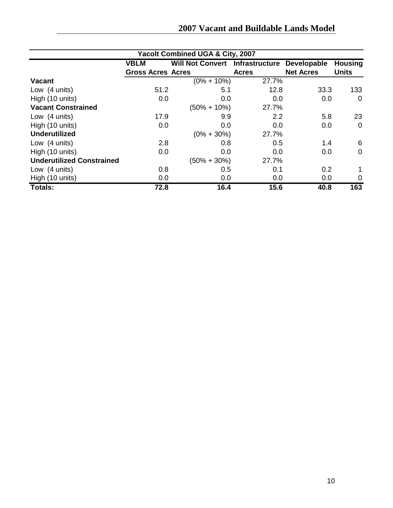|  |  |  | 2007 Vacant and Buildable Lands Model |  |  |
|--|--|--|---------------------------------------|--|--|
|--|--|--|---------------------------------------|--|--|

| <b>Yacolt Combined UGA &amp; City, 2007</b> |                          |                                        |              |                  |                |  |
|---------------------------------------------|--------------------------|----------------------------------------|--------------|------------------|----------------|--|
|                                             | <b>VBLM</b>              | <b>Will Not Convert</b> Infrastructure |              | Developable      | <b>Housing</b> |  |
|                                             | <b>Gross Acres Acres</b> |                                        | <b>Acres</b> | <b>Net Acres</b> | <b>Units</b>   |  |
| <b>Vacant</b>                               |                          | $(0\% + 10\%)$                         | 27.7%        |                  |                |  |
| Low (4 units)                               | 51.2                     | 5.1                                    | 12.8         | 33.3             | 133            |  |
| High (10 units)                             | 0.0                      | 0.0                                    | 0.0          | 0.0              | $\overline{0}$ |  |
| <b>Vacant Constrained</b>                   |                          | $(50\% + 10\%)$                        | 27.7%        |                  |                |  |
| Low (4 units)                               | 17.9                     | 9.9                                    | 2.2          | 5.8              | 23             |  |
| High (10 units)                             | 0.0                      | 0.0                                    | 0.0          | 0.0              | $\overline{0}$ |  |
| <b>Underutilized</b>                        |                          | $(0\% + 30\%)$                         | 27.7%        |                  |                |  |
| Low (4 units)                               | 2.8                      | 0.8                                    | 0.5          | 1.4              | 6              |  |
| High (10 units)                             | 0.0                      | 0.0                                    | 0.0          | 0.0              | $\overline{0}$ |  |
| <b>Underutilized Constrained</b>            |                          | $(50\% + 30\%)$                        | 27.7%        |                  |                |  |
| Low (4 units)                               | 0.8                      | 0.5                                    | 0.1          | 0.2              |                |  |
| High (10 units)                             | 0.0                      | 0.0                                    | 0.0          | 0.0              | 0              |  |
| <b>Totals:</b>                              | 72.8                     | 16.4                                   | 15.6         | 40.8             | 163            |  |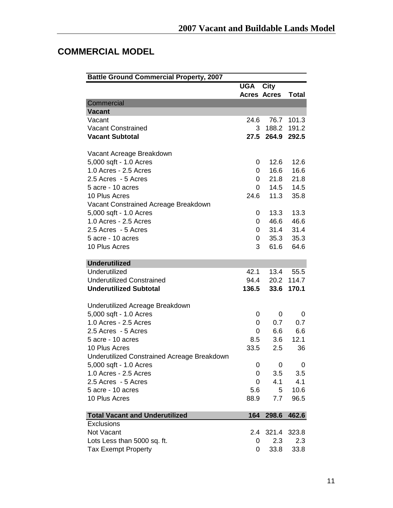## **COMMERCIAL MODEL**

| <b>Battle Ground Commercial Property, 2007</b> |                    |            |              |
|------------------------------------------------|--------------------|------------|--------------|
|                                                | <b>UGA City</b>    |            |              |
|                                                | <b>Acres Acres</b> |            | <b>Total</b> |
| Commercial                                     |                    |            |              |
| <b>Vacant</b>                                  |                    |            |              |
| Vacant                                         | 24.6               | 76.7       | 101.3        |
| <b>Vacant Constrained</b>                      |                    | 3 188.2    | 191.2        |
| <b>Vacant Subtotal</b>                         |                    | 27.5 264.9 | 292.5        |
| Vacant Acreage Breakdown                       |                    |            |              |
| 5,000 sqft - 1.0 Acres                         | 0                  | 12.6       | 12.6         |
| 1.0 Acres - 2.5 Acres                          | 0                  | 16.6       | 16.6         |
| 2.5 Acres - 5 Acres                            | 0                  | 21.8       | 21.8         |
| 5 acre - 10 acres                              | 0                  | 14.5       | 14.5         |
| 10 Plus Acres                                  | 24.6               | 11.3       | 35.8         |
| Vacant Constrained Acreage Breakdown           |                    |            |              |
| 5,000 sqft - 1.0 Acres                         | 0                  | 13.3       | 13.3         |
| 1.0 Acres - 2.5 Acres                          | 0                  | 46.6       | 46.6         |
| 2.5 Acres - 5 Acres                            | 0                  | 31.4       | 31.4         |
| 5 acre - 10 acres                              | 0                  | 35.3       | 35.3         |
| 10 Plus Acres                                  | 3                  | 61.6       | 64.6         |
| <b>Underutilized</b>                           |                    |            |              |
| Underutilized                                  | 42.1               | 13.4       | 55.5         |
| <b>Underutilized Constrained</b>               | 94.4               | 20.2       | 114.7        |
| <b>Underutilized Subtotal</b>                  | 136.5              | 33.6       | 170.1        |
| Underutilized Acreage Breakdown                |                    |            |              |
| 5,000 sqft - 1.0 Acres                         | 0                  | 0          | 0            |
| 1.0 Acres - 2.5 Acres                          | 0                  | 0.7        | 0.7          |
| 2.5 Acres - 5 Acres                            | 0                  | 6.6        | 6.6          |
| 5 acre - 10 acres                              | 8.5                | 3.6        | 12.1         |
| 10 Plus Acres                                  | 33.5               | 2.5        | 36           |
| Underutilized Constrained Acreage Breakdown    |                    |            |              |
| 5,000 sqft - 1.0 Acres                         | 0                  | 0          | 0            |
| 1.0 Acres - 2.5 Acres                          | 0                  | 3.5        | 3.5          |
| 2.5 Acres - 5 Acres                            | 0                  | 4.1        | 4.1          |
| 5 acre - 10 acres                              | 5.6                | 5          | 10.6         |
| 10 Plus Acres                                  | 88.9               | 7.7        | 96.5         |
| <b>Total Vacant and Underutilized</b>          | 164                | 298.6      | 462.6        |
| <b>Exclusions</b>                              |                    |            |              |
| Not Vacant                                     | 2.4                | 321.4      | 323.8        |
| Lots Less than 5000 sq. ft.                    | 0                  | 2.3        | 2.3          |
| <b>Tax Exempt Property</b>                     | 0                  | 33.8       | 33.8         |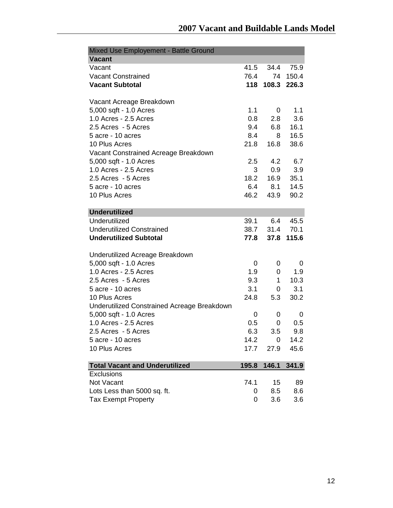| Mixed Use Employement - Battle Ground       |       |       |       |
|---------------------------------------------|-------|-------|-------|
| <b>Vacant</b>                               |       |       |       |
| Vacant                                      | 41.5  | 34.4  | 75.9  |
| <b>Vacant Constrained</b>                   | 76.4  | 74    | 150.4 |
| <b>Vacant Subtotal</b>                      | 118   | 108.3 | 226.3 |
| Vacant Acreage Breakdown                    |       |       |       |
| 5,000 sqft - 1.0 Acres                      | 1.1   | 0     | 1.1   |
| 1.0 Acres - 2.5 Acres                       | 0.8   | 2.8   | 3.6   |
| 2.5 Acres - 5 Acres                         | 9.4   | 6.8   | 16.1  |
| 5 acre - 10 acres                           | 8.4   | 8     | 16.5  |
| 10 Plus Acres                               | 21.8  | 16.8  | 38.6  |
| Vacant Constrained Acreage Breakdown        |       |       |       |
| 5,000 sqft - 1.0 Acres                      | 2.5   | 4.2   | 6.7   |
| 1.0 Acres - 2.5 Acres                       | 3     | 0.9   | 3.9   |
| 2.5 Acres - 5 Acres                         | 18.2  | 16.9  | 35.1  |
| 5 acre - 10 acres                           | 6.4   | 8.1   | 14.5  |
| 10 Plus Acres                               | 46.2  | 43.9  | 90.2  |
|                                             |       |       |       |
| <b>Underutilized</b>                        |       |       |       |
| Underutilized                               | 39.1  | 6.4   | 45.5  |
| <b>Underutilized Constrained</b>            | 38.7  | 31.4  | 70.1  |
| <b>Underutilized Subtotal</b>               | 77.8  | 37.8  | 115.6 |
| Underutilized Acreage Breakdown             |       |       |       |
| 5,000 sqft - 1.0 Acres                      | 0     | 0     | 0     |
| 1.0 Acres - 2.5 Acres                       | 1.9   | 0     | 1.9   |
| 2.5 Acres - 5 Acres                         | 9.3   | 1     | 10.3  |
| 5 acre - 10 acres                           | 3.1   | 0     | 3.1   |
| 10 Plus Acres                               | 24.8  | 5.3   | 30.2  |
| Underutilized Constrained Acreage Breakdown |       |       |       |
| 5,000 sqft - 1.0 Acres                      | 0     | 0     | 0     |
| 1.0 Acres - 2.5 Acres                       | 0.5   | 0     | 0.5   |
|                                             |       |       |       |
| 2.5 Acres - 5 Acres                         | 6.3   | 3.5   | 9.8   |
| 5 acre - 10 acres                           | 14.2  | 0     | 14.2  |
| 10 Plus Acres                               | 17.7  | 27.9  | 45.6  |
| <b>Total Vacant and Underutilized</b>       | 195.8 | 146.1 | 341.9 |
| <b>Exclusions</b>                           |       |       |       |
| Not Vacant                                  | 74.1  | 15    | 89    |
| Lots Less than 5000 sq. ft.                 | 0     | 8.5   | 8.6   |
| <b>Tax Exempt Property</b>                  | 0     | 3.6   | 3.6   |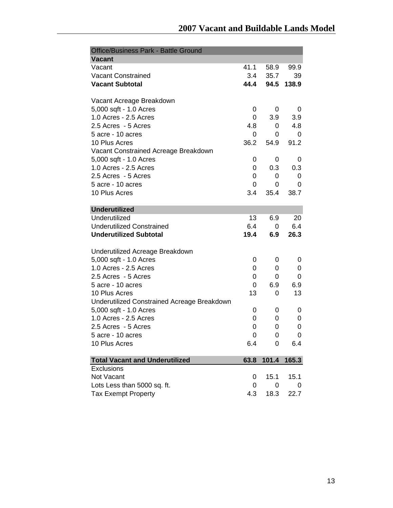| <b>Office/Business Park - Battle Ground</b> |             |       |                |
|---------------------------------------------|-------------|-------|----------------|
| <b>Vacant</b>                               |             |       |                |
| Vacant                                      | 41.1        | 58.9  | 99.9           |
| <b>Vacant Constrained</b>                   | 3.4         | 35.7  | 39             |
| <b>Vacant Subtotal</b>                      | 44.4        | 94.5  | 138.9          |
|                                             |             |       |                |
| Vacant Acreage Breakdown                    |             |       |                |
| 5,000 sqft - 1.0 Acres                      | 0           | 0     | 0              |
| 1.0 Acres - 2.5 Acres                       | 0           | 3.9   | 3.9            |
| 2.5 Acres - 5 Acres                         | 4.8         | 0     | 4.8            |
| 5 acre - 10 acres                           | 0           | 0     | 0              |
| 10 Plus Acres                               | 36.2        | 54.9  | 91.2           |
| Vacant Constrained Acreage Breakdown        |             |       |                |
| 5,000 sqft - 1.0 Acres                      | 0           | 0     | 0              |
| 1.0 Acres - 2.5 Acres                       | 0           | 0.3   | 0.3            |
| 2.5 Acres - 5 Acres                         | 0           | 0     | 0              |
| 5 acre - 10 acres                           | 0           | 0     | 0              |
| 10 Plus Acres                               | 3.4         | 35.4  | 38.7           |
| <b>Underutilized</b>                        |             |       |                |
| Underutilized                               | 13          | 6.9   | 20             |
| <b>Underutilized Constrained</b>            | 6.4         | 0     | 6.4            |
| <b>Underutilized Subtotal</b>               | 19.4        | 6.9   | 26.3           |
|                                             |             |       |                |
| Underutilized Acreage Breakdown             |             |       |                |
| 5,000 sqft - 1.0 Acres                      | 0           | 0     | 0              |
| 1.0 Acres - 2.5 Acres                       | 0           | 0     | 0              |
| 2.5 Acres - 5 Acres                         | 0           | 0     | 0              |
| 5 acre - 10 acres                           | 0           | 6.9   | 6.9            |
| 10 Plus Acres                               | 13          | 0     | 13             |
| Underutilized Constrained Acreage Breakdown |             |       |                |
| 5,000 sqft - 1.0 Acres                      | 0           | 0     | 0              |
| 1.0 Acres - 2.5 Acres                       | 0           | 0     | 0              |
| 2.5 Acres - 5 Acres                         | 0           | 0     | 0              |
| 5 acre - 10 acres                           | $\mathbf 0$ | 0     | $\overline{0}$ |
| 10 Plus Acres                               | 6.4         | 0     | 6.4            |
|                                             |             |       |                |
| <b>Total Vacant and Underutilized</b>       | 63.8        | 101.4 | 165.3          |
| Exclusions                                  |             |       |                |
| Not Vacant                                  | 0           | 15.1  | 15.1           |
| Lots Less than 5000 sq. ft.                 | 0           | 0     | 0              |
| <b>Tax Exempt Property</b>                  | 4.3         | 18.3  | 22.7           |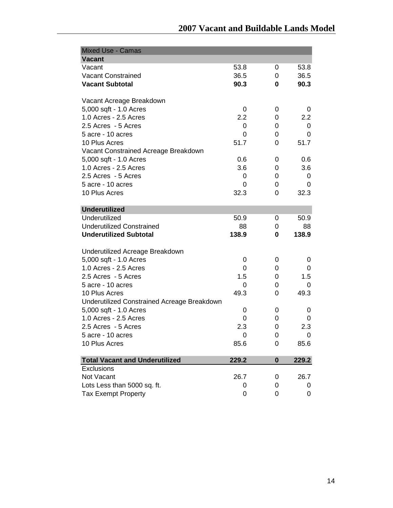| <b>Mixed Use - Camas</b>                    |                |          |                |
|---------------------------------------------|----------------|----------|----------------|
| <b>Vacant</b>                               |                |          |                |
| Vacant                                      | 53.8           | 0        | 53.8           |
| <b>Vacant Constrained</b>                   | 36.5           | 0        | 36.5           |
| <b>Vacant Subtotal</b>                      | 90.3           | 0        | 90.3           |
| Vacant Acreage Breakdown                    |                |          |                |
| 5,000 sqft - 1.0 Acres                      | 0              | 0        | 0              |
| 1.0 Acres - 2.5 Acres                       | 2.2            | 0        | 2.2            |
| 2.5 Acres - 5 Acres                         | 0              | 0        | 0              |
| 5 acre - 10 acres                           | 0              | 0        | 0              |
| 10 Plus Acres                               | 51.7           | 0        | 51.7           |
| Vacant Constrained Acreage Breakdown        |                |          |                |
| 5,000 sqft - 1.0 Acres                      | 0.6            | 0        | 0.6            |
| 1.0 Acres - 2.5 Acres                       | 3.6            | 0        | 3.6            |
| 2.5 Acres - 5 Acres                         | 0              | 0        | 0              |
| 5 acre - 10 acres                           | 0              | 0        | 0              |
| 10 Plus Acres                               | 32.3           | 0        | 32.3           |
|                                             |                |          |                |
| <b>Underutilized</b>                        |                |          |                |
| Underutilized                               | 50.9           | 0        | 50.9           |
| <b>Underutilized Constrained</b>            | 88             | 0        | 88             |
| <b>Underutilized Subtotal</b>               | 138.9          | 0        | 138.9          |
|                                             |                |          |                |
| Underutilized Acreage Breakdown             |                |          |                |
| 5,000 sqft - 1.0 Acres                      | 0              | 0        | 0              |
| 1.0 Acres - 2.5 Acres                       | 0              | 0        | 0              |
| 2.5 Acres - 5 Acres                         | 1.5            | 0        | 1.5            |
| 5 acre - 10 acres                           | 0              | 0        | 0              |
| 10 Plus Acres                               | 49.3           | 0        | 49.3           |
| Underutilized Constrained Acreage Breakdown |                |          |                |
| 5,000 sqft - 1.0 Acres                      | 0              | 0        | 0              |
| 1.0 Acres - 2.5 Acres                       | 0              | 0        | 0              |
| 2.5 Acres - 5 Acres                         | 2.3            | 0        | 2.3            |
| 5 acre - 10 acres                           | $\overline{0}$ | 0        | $\overline{0}$ |
| 10 Plus Acres                               | 85.6           | 0        | 85.6           |
| <b>Total Vacant and Underutilized</b>       | 229.2          | $\bf{0}$ | 229.2          |
| Exclusions                                  |                |          |                |
| Not Vacant                                  | 26.7           | 0        | 26.7           |
| Lots Less than 5000 sq. ft.                 | 0              | 0        | 0              |
| <b>Tax Exempt Property</b>                  |                | 0        |                |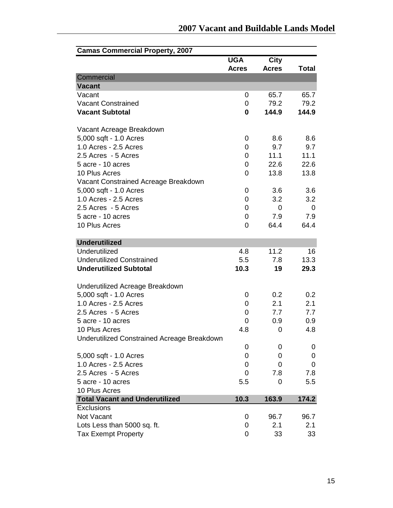| <b>Camas Commercial Property, 2007</b>             |              |              |              |
|----------------------------------------------------|--------------|--------------|--------------|
|                                                    | <b>UGA</b>   | <b>City</b>  |              |
|                                                    | <b>Acres</b> | <b>Acres</b> | <b>Total</b> |
| Commercial<br><b>Vacant</b>                        |              |              |              |
|                                                    |              |              |              |
| Vacant<br><b>Vacant Constrained</b>                | 0            | 65.7         | 65.7         |
|                                                    | 0            | 79.2         | 79.2         |
| <b>Vacant Subtotal</b>                             | 0            | 144.9        | 144.9        |
| Vacant Acreage Breakdown                           |              |              |              |
| 5,000 sqft - 1.0 Acres                             | 0            | 8.6          | 8.6          |
| 1.0 Acres - 2.5 Acres                              | 0            | 9.7          | 9.7          |
| 2.5 Acres - 5 Acres                                | 0            | 11.1         | 11.1         |
| 5 acre - 10 acres                                  |              | 22.6         | 22.6         |
|                                                    | 0            |              |              |
| 10 Plus Acres                                      | 0            | 13.8         | 13.8         |
| Vacant Constrained Acreage Breakdown               |              |              |              |
| 5,000 sqft - 1.0 Acres                             | 0            | 3.6          | 3.6          |
| 1.0 Acres - 2.5 Acres                              | 0            | 3.2          | 3.2          |
| 2.5 Acres - 5 Acres                                | 0            | 0            | 0            |
| 5 acre - 10 acres                                  | 0            | 7.9          | 7.9          |
| 10 Plus Acres                                      | 0            | 64.4         | 64.4         |
| <b>Underutilized</b>                               |              |              |              |
| Underutilized                                      | 4.8          | 11.2         | 16           |
| <b>Underutilized Constrained</b>                   |              |              |              |
|                                                    | 5.5          | 7.8          | 13.3         |
| <b>Underutilized Subtotal</b>                      | 10.3         | 19           | 29.3         |
| Underutilized Acreage Breakdown                    |              |              |              |
| 5,000 sqft - 1.0 Acres                             | 0            | 0.2          | 0.2          |
| 1.0 Acres - 2.5 Acres                              | 0            | 2.1          | 2.1          |
| 2.5 Acres - 5 Acres                                | 0            | 7.7          | 7.7          |
| 5 acre - 10 acres                                  | 0            | 0.9          | 0.9          |
| 10 Plus Acres                                      | 4.8          | 0            | 4.8          |
| <b>Underutilized Constrained Acreage Breakdown</b> |              |              |              |
|                                                    | 0            | 0            | 0            |
| 5,000 sqft - 1.0 Acres                             | 0            | 0            | 0            |
| 1.0 Acres - 2.5 Acres                              | 0            | 0            | 0            |
| 2.5 Acres - 5 Acres                                | 0            | 7.8          | 7.8          |
| 5 acre - 10 acres                                  | 5.5          | 0            | 5.5          |
| 10 Plus Acres                                      |              |              |              |
| <b>Total Vacant and Underutilized</b>              | 10.3         | 163.9        |              |
| Exclusions                                         |              |              | 174.2        |
| Not Vacant                                         |              | 96.7         |              |
|                                                    | 0            |              | 96.7         |
| Lots Less than 5000 sq. ft.                        | 0            | 2.1          | 2.1          |
| <b>Tax Exempt Property</b>                         | 0            | 33           | 33           |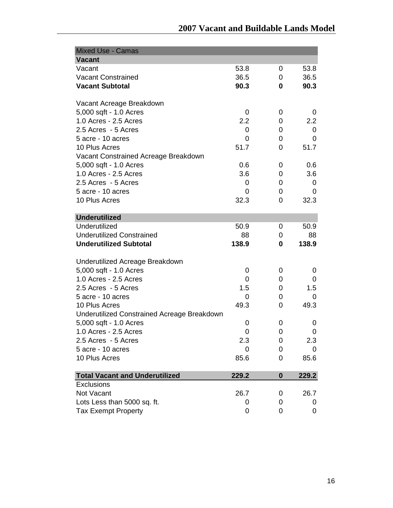| <b>Mixed Use - Camas</b>                           |       |          |       |
|----------------------------------------------------|-------|----------|-------|
| <b>Vacant</b>                                      |       |          |       |
| Vacant                                             | 53.8  | 0        | 53.8  |
| <b>Vacant Constrained</b>                          | 36.5  | 0        | 36.5  |
| <b>Vacant Subtotal</b>                             | 90.3  | 0        | 90.3  |
| Vacant Acreage Breakdown                           |       |          |       |
| 5,000 sqft - 1.0 Acres                             | 0     | 0        | 0     |
| 1.0 Acres - 2.5 Acres                              | 2.2   | 0        | 2.2   |
| 2.5 Acres - 5 Acres                                | 0     | 0        | 0     |
| 5 acre - 10 acres                                  | 0     | 0        | 0     |
| 10 Plus Acres                                      | 51.7  | 0        | 51.7  |
| Vacant Constrained Acreage Breakdown               |       |          |       |
| 5,000 sqft - 1.0 Acres                             | 0.6   | 0        | 0.6   |
| 1.0 Acres - 2.5 Acres                              | 3.6   | 0        | 3.6   |
| 2.5 Acres - 5 Acres                                | 0     | 0        | 0     |
| 5 acre - 10 acres                                  | 0     | 0        | 0     |
| 10 Plus Acres                                      | 32.3  | 0        | 32.3  |
|                                                    |       |          |       |
| <b>Underutilized</b>                               |       |          |       |
| Underutilized                                      | 50.9  | 0        | 50.9  |
| <b>Underutilized Constrained</b>                   | 88    | 0        | 88    |
| <b>Underutilized Subtotal</b>                      | 138.9 | 0        | 138.9 |
|                                                    |       |          |       |
| Underutilized Acreage Breakdown                    |       |          |       |
| 5,000 sqft - 1.0 Acres                             | 0     | 0        | 0     |
| 1.0 Acres - 2.5 Acres                              | 0     | 0        | 0     |
| 2.5 Acres - 5 Acres                                | 1.5   | 0        | 1.5   |
| 5 acre - 10 acres                                  | 0     | 0        | 0     |
| 10 Plus Acres                                      | 49.3  | 0        | 49.3  |
| <b>Underutilized Constrained Acreage Breakdown</b> |       |          |       |
| 5,000 sqft - 1.0 Acres                             | 0     | 0        | 0     |
| 1.0 Acres - 2.5 Acres                              | 0     | 0        | 0     |
| 2.5 Acres - 5 Acres                                | 2.3   | 0        | 2.3   |
| 5 acre - 10 acres                                  | 0     | 0        | 0     |
| 10 Plus Acres                                      | 85.6  | 0        | 85.6  |
| <b>Total Vacant and Underutilized</b>              | 229.2 | $\bf{0}$ | 229.2 |
| Exclusions                                         |       |          |       |
| Not Vacant                                         | 26.7  | 0        | 26.7  |
| Lots Less than 5000 sq. ft.                        | 0     | 0        | 0     |
| <b>Tax Exempt Property</b>                         | 0     | 0        | 0     |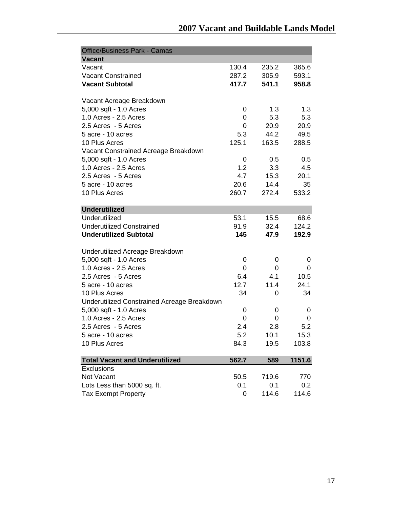| <b>Office/Business Park - Camas</b>         |       |       |        |
|---------------------------------------------|-------|-------|--------|
| <b>Vacant</b>                               |       |       |        |
| Vacant                                      | 130.4 | 235.2 | 365.6  |
| <b>Vacant Constrained</b>                   | 287.2 | 305.9 | 593.1  |
| <b>Vacant Subtotal</b>                      | 417.7 | 541.1 | 958.8  |
| Vacant Acreage Breakdown                    |       |       |        |
| 5,000 sqft - 1.0 Acres                      | 0     | 1.3   | 1.3    |
| 1.0 Acres - 2.5 Acres                       | 0     | 5.3   | 5.3    |
| 2.5 Acres - 5 Acres                         | 0     | 20.9  | 20.9   |
| 5 acre - 10 acres                           | 5.3   | 44.2  | 49.5   |
| 10 Plus Acres                               | 125.1 | 163.5 | 288.5  |
| Vacant Constrained Acreage Breakdown        |       |       |        |
| 5,000 sqft - 1.0 Acres                      | 0     | 0.5   | 0.5    |
| 1.0 Acres - 2.5 Acres                       | 1.2   | 3.3   | 4.5    |
| 2.5 Acres - 5 Acres                         | 4.7   | 15.3  | 20.1   |
| 5 acre - 10 acres                           | 20.6  | 14.4  | 35     |
| 10 Plus Acres                               | 260.7 | 272.4 | 533.2  |
|                                             |       |       |        |
| <b>Underutilized</b>                        |       |       |        |
| Underutilized                               | 53.1  | 15.5  | 68.6   |
| <b>Underutilized Constrained</b>            | 91.9  | 32.4  | 124.2  |
| <b>Underutilized Subtotal</b>               | 145   | 47.9  | 192.9  |
| Underutilized Acreage Breakdown             |       |       |        |
| 5,000 sqft - 1.0 Acres                      | 0     | 0     | 0      |
| 1.0 Acres - 2.5 Acres                       | 0     | 0     | 0      |
| 2.5 Acres - 5 Acres                         | 6.4   | 4.1   | 10.5   |
| 5 acre - 10 acres                           | 12.7  | 11.4  | 24.1   |
| 10 Plus Acres                               | 34    | 0     | 34     |
| Underutilized Constrained Acreage Breakdown |       |       |        |
| 5,000 sqft - 1.0 Acres                      | 0     | 0     | 0      |
| 1.0 Acres - 2.5 Acres                       | 0     | 0     | 0      |
| 2.5 Acres - 5 Acres                         | 2.4   | 2.8   | 5.2    |
| 5 acre - 10 acres                           | 5.2   | 10.1  | 15.3   |
| 10 Plus Acres                               | 84.3  | 19.5  | 103.8  |
|                                             |       |       |        |
| <b>Total Vacant and Underutilized</b>       | 562.7 | 589   | 1151.6 |
| Exclusions                                  |       |       |        |
| Not Vacant                                  | 50.5  | 719.6 | 770    |
| Lots Less than 5000 sq. ft.                 | 0.1   | 0.1   | 0.2    |
| <b>Tax Exempt Property</b>                  | 0     | 114.6 | 114.6  |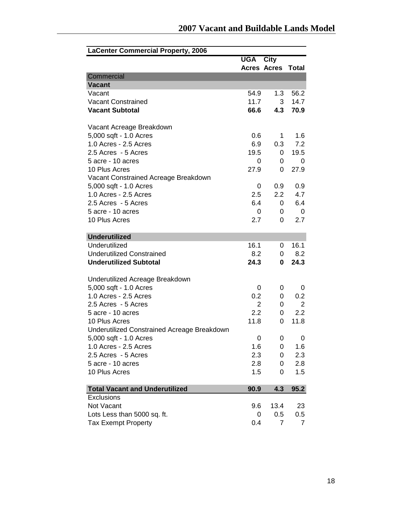| <b>LaCenter Commercial Property, 2006</b>   |                    |                   |                |
|---------------------------------------------|--------------------|-------------------|----------------|
|                                             | <b>UGA</b>         | <b>City</b>       |                |
|                                             | <b>Acres Acres</b> |                   | <b>Total</b>   |
| Commercial                                  |                    |                   |                |
| <b>Vacant</b>                               |                    |                   |                |
| Vacant                                      | 54.9               | 1.3               | 56.2           |
| <b>Vacant Constrained</b>                   | 11.7               | 3                 | 14.7           |
| <b>Vacant Subtotal</b>                      | 66.6               | 4.3               | 70.9           |
| Vacant Acreage Breakdown                    |                    |                   |                |
| 5,000 sqft - 1.0 Acres                      | 0.6                | 1                 | 1.6            |
| 1.0 Acres - 2.5 Acres                       | 6.9                | 0.3               | 7.2            |
| 2.5 Acres - 5 Acres                         | 19.5               | 0                 | 19.5           |
| 5 acre - 10 acres                           | 0                  | 0                 | 0              |
| 10 Plus Acres                               | 27.9               | 0                 | 27.9           |
| Vacant Constrained Acreage Breakdown        |                    |                   |                |
| 5,000 sqft - 1.0 Acres                      | 0                  | 0.9               | 0.9            |
| 1.0 Acres - 2.5 Acres                       | 2.5                | $2.2\overline{ }$ | 4.7            |
| 2.5 Acres - 5 Acres                         | 6.4                | 0                 | 6.4            |
| 5 acre - 10 acres                           | 0                  | 0                 | 0              |
| 10 Plus Acres                               | 2.7                | 0                 | 2.7            |
|                                             |                    |                   |                |
| <b>Underutilized</b><br>Underutilized       |                    |                   |                |
| <b>Underutilized Constrained</b>            | 16.1<br>8.2        | 0                 | 16.1<br>8.2    |
| <b>Underutilized Subtotal</b>               |                    | 0                 | 24.3           |
|                                             | 24.3               | 0                 |                |
| Underutilized Acreage Breakdown             |                    |                   |                |
| 5,000 sqft - 1.0 Acres                      | 0                  | 0                 | 0              |
| 1.0 Acres - 2.5 Acres                       | 0.2                | 0                 | 0.2            |
| 2.5 Acres - 5 Acres                         | $\overline{2}$     | 0                 | $\overline{2}$ |
| 5 acre - 10 acres                           | 2.2                | 0                 | 2.2            |
| 10 Plus Acres                               | 11.8               | 0                 | 11.8           |
| Underutilized Constrained Acreage Breakdown |                    |                   |                |
| 5,000 sqft - 1.0 Acres                      | 0                  | 0                 | 0              |
| 1.0 Acres - 2.5 Acres                       | 1.6                | 0                 | 1.6            |
| 2.5 Acres - 5 Acres                         | 2.3                | 0                 | 2.3            |
| 5 acre - 10 acres                           | 2.8                | 0                 | 2.8            |
| 10 Plus Acres                               | 1.5                | 0                 | 1.5            |
| <b>Total Vacant and Underutilized</b>       | 90.9               | 4.3               | 95.2           |
| Exclusions                                  |                    |                   |                |
| Not Vacant                                  | 9.6                | 13.4              | 23             |
| Lots Less than 5000 sq. ft.                 | 0                  | 0.5               | $0.5\,$        |
| <b>Tax Exempt Property</b>                  | 0.4                | $\overline{7}$    | $\overline{7}$ |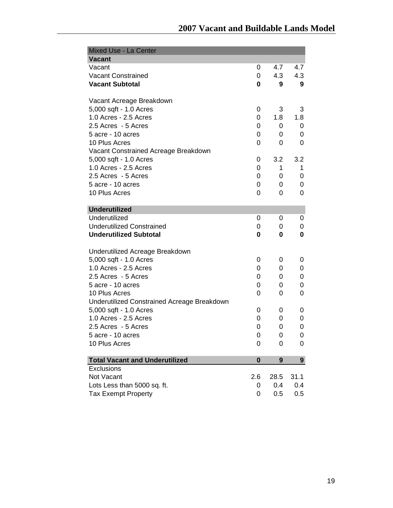| Mixed Use - La Center                               |          |      |      |
|-----------------------------------------------------|----------|------|------|
| <b>Vacant</b>                                       |          |      |      |
| Vacant                                              | 0        | 4.7  | 4.7  |
| <b>Vacant Constrained</b>                           | 0        | 4.3  | 4.3  |
| <b>Vacant Subtotal</b>                              | 0        | 9    | 9    |
| Vacant Acreage Breakdown                            |          |      |      |
| 5,000 sqft - 1.0 Acres                              | 0        | 3    | 3    |
| 1.0 Acres - 2.5 Acres                               | 0        | 1.8  | 1.8  |
| 2.5 Acres - 5 Acres                                 | 0        | 0    | 0    |
| 5 acre - 10 acres                                   | 0        | 0    | 0    |
| 10 Plus Acres                                       | 0        | 0    | 0    |
| Vacant Constrained Acreage Breakdown                |          |      |      |
| 5,000 sqft - 1.0 Acres                              | 0        | 3.2  | 3.2  |
| 1.0 Acres - 2.5 Acres                               | 0        | 1    | 1    |
| 2.5 Acres - 5 Acres                                 | 0        | 0    | 0    |
| 5 acre - 10 acres                                   | 0        | 0    | 0    |
| 10 Plus Acres                                       | 0        | 0    | 0    |
|                                                     |          |      |      |
| <b>Underutilized</b>                                |          |      |      |
| Underutilized                                       | 0        | 0    | 0    |
| <b>Underutilized Constrained</b>                    | 0        | 0    | 0    |
| <b>Underutilized Subtotal</b>                       | 0        | 0    | 0    |
| Underutilized Acreage Breakdown                     |          |      |      |
| 5,000 sqft - 1.0 Acres                              | 0        | 0    | 0    |
| 1.0 Acres - 2.5 Acres                               | 0        | 0    | 0    |
| 2.5 Acres - 5 Acres                                 | 0        | 0    | 0    |
| 5 acre - 10 acres                                   | 0        | 0    | 0    |
| 10 Plus Acres                                       | 0        | 0    | 0    |
| Underutilized Constrained Acreage Breakdown         |          |      |      |
| 5,000 sqft - 1.0 Acres                              | 0        | 0    | 0    |
| 1.0 Acres - 2.5 Acres                               | 0        | 0    | 0    |
| 2.5 Acres - 5 Acres                                 | 0        | 0    | 0    |
| 5 acre - 10 acres                                   | 0        | 0    | 0    |
| 10 Plus Acres                                       | 0        | 0    | 0    |
|                                                     |          |      |      |
| <b>Total Vacant and Underutilized</b><br>Exclusions | $\bf{0}$ | 9    | 9    |
| Not Vacant                                          | 2.6      | 28.5 | 31.1 |
| Lots Less than 5000 sq. ft.                         | 0        | 0.4  | 0.4  |
|                                                     | 0        | 0.5  | 0.5  |
| <b>Tax Exempt Property</b>                          |          |      |      |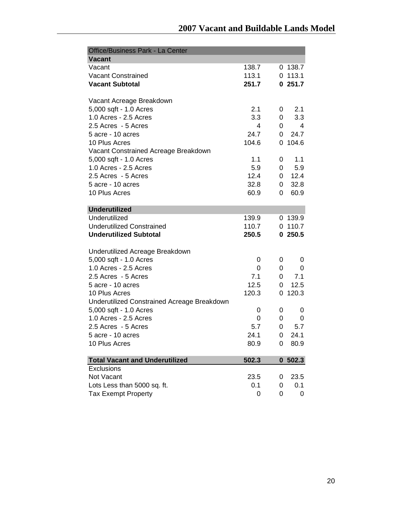| <b>Office/Business Park - La Center</b>     |       |   |           |
|---------------------------------------------|-------|---|-----------|
| <b>Vacant</b>                               |       |   |           |
| Vacant                                      | 138.7 |   | 0.138.7   |
| <b>Vacant Constrained</b>                   | 113.1 |   | $0$ 113.1 |
| <b>Vacant Subtotal</b>                      | 251.7 |   | 0251.7    |
|                                             |       |   |           |
| Vacant Acreage Breakdown                    |       |   |           |
| 5,000 sqft - 1.0 Acres                      | 2.1   | 0 | 2.1       |
| 1.0 Acres - 2.5 Acres                       | 3.3   | 0 | 3.3       |
| 2.5 Acres - 5 Acres                         | 4     | 0 | 4         |
| 5 acre - 10 acres                           | 24.7  | 0 | 24.7      |
| 10 Plus Acres                               | 104.6 |   | 0 104.6   |
| Vacant Constrained Acreage Breakdown        |       |   |           |
| 5,000 sqft - 1.0 Acres                      | 1.1   | 0 | 1.1       |
| 1.0 Acres - 2.5 Acres                       | 5.9   | 0 | 5.9       |
| 2.5 Acres - 5 Acres                         | 12.4  | 0 | 12.4      |
| 5 acre - 10 acres                           | 32.8  | 0 | 32.8      |
| 10 Plus Acres                               | 60.9  | 0 | 60.9      |
|                                             |       |   |           |
| <b>Underutilized</b>                        |       |   |           |
| Underutilized                               | 139.9 |   | 0.139.9   |
| <b>Underutilized Constrained</b>            | 110.7 |   | 0, 110.7  |
| <b>Underutilized Subtotal</b>               | 250.5 |   | 0250.5    |
|                                             |       |   |           |
| Underutilized Acreage Breakdown             |       |   |           |
| 5,000 sqft - 1.0 Acres                      | 0     | 0 | 0         |
| 1.0 Acres - 2.5 Acres                       | 0     | 0 | 0         |
| 2.5 Acres - 5 Acres                         | 7.1   | 0 | 7.1       |
| 5 acre - 10 acres                           | 12.5  | 0 | 12.5      |
| 10 Plus Acres                               | 120.3 | 0 | 120.3     |
| Underutilized Constrained Acreage Breakdown |       |   |           |
| 5,000 sqft - 1.0 Acres                      | 0     | 0 | 0         |
| 1.0 Acres - 2.5 Acres                       | 0     | 0 | 0         |
| 2.5 Acres - 5 Acres                         | 5.7   | 0 | 5.7       |
| 5 acre - 10 acres                           | 24.1  | 0 | 24.1      |
| 10 Plus Acres                               | 80.9  | 0 | 80.9      |
|                                             |       |   |           |
| <b>Total Vacant and Underutilized</b>       | 502.3 | 0 | 502.3     |
| Exclusions                                  |       |   |           |
| Not Vacant                                  | 23.5  | 0 | 23.5      |
| Lots Less than 5000 sq. ft.                 | 0.1   | 0 | 0.1       |
| <b>Tax Exempt Property</b>                  | 0     | 0 | 0         |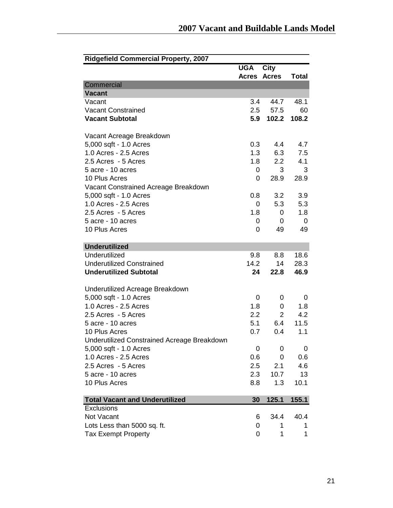| <b>Ridgefield Commercial Property, 2007</b> |              |                  |              |
|---------------------------------------------|--------------|------------------|--------------|
|                                             | <b>UGA</b>   | <b>City</b>      |              |
|                                             | <b>Acres</b> | <b>Acres</b>     | <b>Total</b> |
| Commercial                                  |              |                  |              |
| <b>Vacant</b>                               |              |                  |              |
| Vacant                                      | 3.4          | 44.7             | 48.1         |
| <b>Vacant Constrained</b>                   | 2.5          | 57.5             | 60           |
| <b>Vacant Subtotal</b>                      | 5.9          | 102.2            | 108.2        |
| Vacant Acreage Breakdown                    |              |                  |              |
| 5,000 sqft - 1.0 Acres                      | 0.3          | 4.4              | 4.7          |
| 1.0 Acres - 2.5 Acres                       | 1.3          | 6.3              | 7.5          |
| 2.5 Acres - 5 Acres                         | 1.8          | $2.2\phantom{0}$ | 4.1          |
| 5 acre - 10 acres                           | 0            | 3                | 3            |
| 10 Plus Acres                               | 0            | 28.9             | 28.9         |
| Vacant Constrained Acreage Breakdown        |              |                  |              |
| 5,000 sqft - 1.0 Acres                      | 0.8          | 3.2              | 3.9          |
| 1.0 Acres - 2.5 Acres                       | 0            | 5.3              | 5.3          |
| 2.5 Acres - 5 Acres                         | 1.8          | 0                | 1.8          |
| 5 acre - 10 acres                           | 0            | 0                | 0            |
| 10 Plus Acres                               | 0            | 49               | 49           |
| <b>Underutilized</b>                        |              |                  |              |
| Underutilized                               | 9.8          | 8.8              | 18.6         |
| <b>Underutilized Constrained</b>            | 14.2         | 14               | 28.3         |
| <b>Underutilized Subtotal</b>               | 24           | 22.8             | 46.9         |
|                                             |              |                  |              |
| Underutilized Acreage Breakdown             |              |                  |              |
| 5,000 sqft - 1.0 Acres                      | 0            | 0                | 0            |
| 1.0 Acres - 2.5 Acres                       | 1.8          | 0                | 1.8          |
| 2.5 Acres - 5 Acres                         | 2.2          | 2                | 4.2          |
| 5 acre - 10 acres                           | 5.1          | 6.4              | 11.5         |
| 10 Plus Acres                               | 0.7          | 0.4              | 1.1          |
| Underutilized Constrained Acreage Breakdown |              |                  |              |
| 5,000 sqft - 1.0 Acres                      | 0            | 0                | 0            |
| 1.0 Acres - 2.5 Acres                       | 0.6          | 0                | 0.6          |
| 2.5 Acres - 5 Acres                         | 2.5          | 2.1              | 4.6          |
| 5 acre - 10 acres                           | 2.3          | 10.7             | 13           |
| 10 Plus Acres                               | 8.8          | 1.3              | 10.1         |
| <b>Total Vacant and Underutilized</b>       | 30           | 125.1            | 155.1        |
| Exclusions                                  |              |                  |              |
| Not Vacant                                  | 6            | 34.4             | 40.4         |
| Lots Less than 5000 sq. ft.                 | 0            | 1                | 1            |
| Tax Exempt Property                         | 0            | 1                | 1            |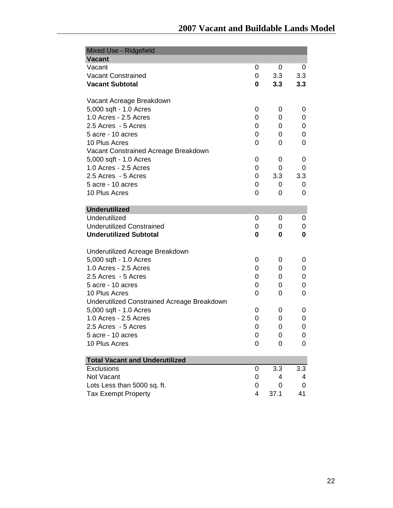| Mixed Use - Ridgefield                      |   |      |     |
|---------------------------------------------|---|------|-----|
| <b>Vacant</b>                               |   |      |     |
| Vacant                                      | 0 | 0    | 0   |
| <b>Vacant Constrained</b>                   | 0 | 3.3  | 3.3 |
| <b>Vacant Subtotal</b>                      | 0 | 3.3  | 3.3 |
| Vacant Acreage Breakdown                    |   |      |     |
| 5,000 sqft - 1.0 Acres                      | 0 | 0    | 0   |
| 1.0 Acres - 2.5 Acres                       | 0 | 0    | 0   |
| 2.5 Acres - 5 Acres                         | 0 | 0    | 0   |
| 5 acre - 10 acres                           | 0 | 0    | 0   |
| 10 Plus Acres                               | 0 | 0    | 0   |
| Vacant Constrained Acreage Breakdown        |   |      |     |
| 5,000 sqft - 1.0 Acres                      | 0 | 0    | 0   |
| 1.0 Acres - 2.5 Acres                       | 0 | 0    | 0   |
| 2.5 Acres - 5 Acres                         | 0 | 3.3  | 3.3 |
| 5 acre - 10 acres                           | 0 | 0    | 0   |
| 10 Plus Acres                               | 0 | 0    | 0   |
| <b>Underutilized</b>                        |   |      |     |
| Underutilized                               | 0 | 0    | 0   |
| <b>Underutilized Constrained</b>            | 0 | 0    | 0   |
| <b>Underutilized Subtotal</b>               | 0 | 0    | 0   |
| Underutilized Acreage Breakdown             |   |      |     |
| 5,000 sqft - 1.0 Acres                      | 0 | 0    | 0   |
| 1.0 Acres - 2.5 Acres                       | 0 | 0    | 0   |
| 2.5 Acres - 5 Acres                         | 0 | 0    | 0   |
| 5 acre - 10 acres                           | 0 | 0    | 0   |
| 10 Plus Acres                               | 0 | 0    | 0   |
| Underutilized Constrained Acreage Breakdown |   |      |     |
| 5,000 sqft - 1.0 Acres                      | 0 | 0    | 0   |
| 1.0 Acres - 2.5 Acres                       | 0 | 0    | 0   |
| 2.5 Acres - 5 Acres                         | 0 | 0    | 0   |
| 5 acre - 10 acres                           | 0 | 0    | 0   |
| 10 Plus Acres                               | 0 | 0    | 0   |
| <b>Total Vacant and Underutilized</b>       |   |      |     |
| Exclusions                                  | 0 | 3.3  | 3.3 |
| Not Vacant                                  | 0 | 4    | 4   |
| Lots Less than 5000 sq. ft.                 | 0 | 0    | 0   |
| <b>Tax Exempt Property</b>                  | 4 | 37.1 | 41  |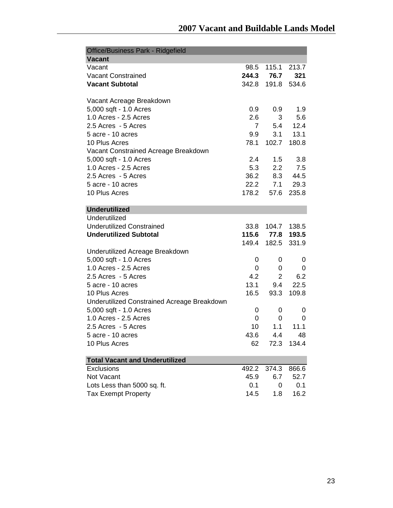| Office/Business Park - Ridgefield           |                |                   |             |
|---------------------------------------------|----------------|-------------------|-------------|
| <b>Vacant</b>                               |                |                   |             |
| Vacant                                      | 98.5           | 115.1             | 213.7       |
| <b>Vacant Constrained</b>                   |                | 244.3 76.7        | 321         |
| <b>Vacant Subtotal</b>                      | 342.8          | 191.8             | 534.6       |
|                                             |                |                   |             |
| Vacant Acreage Breakdown                    |                |                   |             |
| 5,000 sqft - 1.0 Acres                      | 0.9            | 0.9               | 1.9         |
| 1.0 Acres - 2.5 Acres                       | 2.6            | 3                 | 5.6         |
| 2.5 Acres - 5 Acres                         | $\overline{7}$ | 5.4               | 12.4        |
| 5 acre - 10 acres                           | 9.9            | 3.1               | 13.1        |
| 10 Plus Acres                               | 78.1           | 102.7             | 180.8       |
| Vacant Constrained Acreage Breakdown        |                |                   |             |
| 5,000 sqft - 1.0 Acres                      | 2.4            | 1.5               | 3.8         |
| 1.0 Acres - 2.5 Acres                       | 5.3            | $2.2\overline{ }$ | 7.5         |
| 2.5 Acres - 5 Acres                         | 36.2           | 8.3               | 44.5        |
| 5 acre - 10 acres                           | 22.2           | 7.1               | 29.3        |
| 10 Plus Acres                               | 178.2          | 57.6              | 235.8       |
|                                             |                |                   |             |
| <b>Underutilized</b>                        |                |                   |             |
| Underutilized                               |                |                   |             |
| <b>Underutilized Constrained</b>            | 33.8           |                   | 104.7 138.5 |
| <b>Underutilized Subtotal</b>               |                | 115.6 77.8        | 193.5       |
|                                             | 149.4          | 182.5             | 331.9       |
| Underutilized Acreage Breakdown             |                |                   |             |
| 5,000 sqft - 1.0 Acres                      | 0              | 0                 | 0           |
| 1.0 Acres - 2.5 Acres                       | 0              | 0                 | 0           |
| 2.5 Acres - 5 Acres                         | 4.2            | $\overline{2}$    | 6.2         |
| 5 acre - 10 acres                           | 13.1           | 9.4               | 22.5        |
| 10 Plus Acres                               | 16.5           | 93.3              | 109.8       |
| Underutilized Constrained Acreage Breakdown |                |                   |             |
| 5,000 sqft - 1.0 Acres                      | 0              | 0                 | 0           |
| 1.0 Acres - 2.5 Acres                       | 0              | 0                 | 0           |
| 2.5 Acres - 5 Acres                         | 10             | 1.1               | 11.1        |
| 5 acre - 10 acres                           | 43.6           | 4.4               | 48          |
| 10 Plus Acres                               | 62             | 72.3              | 134.4       |
|                                             |                |                   |             |
| <b>Total Vacant and Underutilized</b>       |                |                   |             |
| Exclusions                                  | 492.2          | 374.3             | 866.6       |
| Not Vacant                                  | 45.9           | 6.7               | 52.7        |
| Lots Less than 5000 sq. ft.                 | 0.1            | 0                 | 0.1         |
| <b>Tax Exempt Property</b>                  | 14.5           | 1.8               | 16.2        |
|                                             |                |                   |             |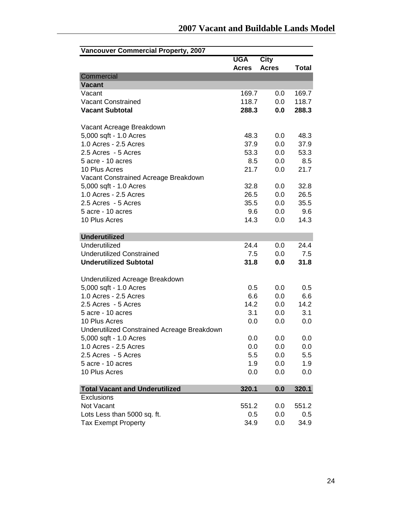| <b>Vancouver Commercial Property, 2007</b>  |              |              |       |
|---------------------------------------------|--------------|--------------|-------|
|                                             | <b>UGA</b>   | <b>City</b>  |       |
|                                             | <b>Acres</b> | <b>Acres</b> | Total |
| Commercial                                  |              |              |       |
| <b>Vacant</b>                               |              |              |       |
| Vacant                                      | 169.7        | 0.0          | 169.7 |
| <b>Vacant Constrained</b>                   | 118.7        | 0.0          | 118.7 |
| <b>Vacant Subtotal</b>                      | 288.3        | 0.0          | 288.3 |
| Vacant Acreage Breakdown                    |              |              |       |
| 5,000 sqft - 1.0 Acres                      | 48.3         | 0.0          | 48.3  |
| 1.0 Acres - 2.5 Acres                       | 37.9         | 0.0          | 37.9  |
| 2.5 Acres - 5 Acres                         | 53.3         | 0.0          | 53.3  |
| 5 acre - 10 acres                           | 8.5          | 0.0          | 8.5   |
| 10 Plus Acres                               | 21.7         | 0.0          | 21.7  |
| Vacant Constrained Acreage Breakdown        |              |              |       |
| 5,000 sqft - 1.0 Acres                      | 32.8         | 0.0          | 32.8  |
| 1.0 Acres - 2.5 Acres                       | 26.5         | 0.0          | 26.5  |
| 2.5 Acres - 5 Acres                         | 35.5         | 0.0          | 35.5  |
| 5 acre - 10 acres                           | 9.6          | 0.0          | 9.6   |
| 10 Plus Acres                               | 14.3         | 0.0          | 14.3  |
|                                             |              |              |       |
| <b>Underutilized</b>                        |              |              |       |
| Underutilized                               | 24.4         | 0.0          | 24.4  |
| <b>Underutilized Constrained</b>            | 7.5          | 0.0          | 7.5   |
| <b>Underutilized Subtotal</b>               | 31.8         | 0.0          | 31.8  |
| Underutilized Acreage Breakdown             |              |              |       |
| 5,000 sqft - 1.0 Acres                      | 0.5          | 0.0          | 0.5   |
| 1.0 Acres - 2.5 Acres                       | 6.6          | 0.0          | 6.6   |
| 2.5 Acres - 5 Acres                         | 14.2         | 0.0          | 14.2  |
| 5 acre - 10 acres                           | 3.1          | 0.0          | 3.1   |
| 10 Plus Acres                               | 0.0          | 0.0          | 0.0   |
| Underutilized Constrained Acreage Breakdown |              |              |       |
| 5,000 sqft - 1.0 Acres                      | 0.0          | 0.0          | 0.0   |
| 1.0 Acres - 2.5 Acres                       | 0.0          | 0.0          | 0.0   |
| 2.5 Acres - 5 Acres                         | 5.5          | 0.0          | 5.5   |
| 5 acre - 10 acres                           | 1.9          | 0.0          | 1.9   |
| 10 Plus Acres                               | 0.0          | 0.0          | 0.0   |
|                                             |              |              |       |
| <b>Total Vacant and Underutilized</b>       | 320.1        | 0.0          | 320.1 |
| Exclusions                                  |              |              |       |
| Not Vacant                                  | 551.2        | 0.0          | 551.2 |
| Lots Less than 5000 sq. ft.                 | 0.5          | 0.0          | 0.5   |
| Tax Exempt Property                         | 34.9         | 0.0          | 34.9  |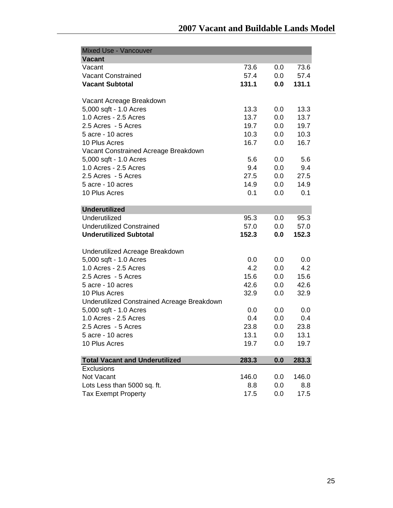| <b>Mixed Use - Vancouver</b>                |       |     |       |
|---------------------------------------------|-------|-----|-------|
| <b>Vacant</b>                               |       |     |       |
| Vacant                                      | 73.6  | 0.0 | 73.6  |
| <b>Vacant Constrained</b>                   | 57.4  | 0.0 | 57.4  |
| <b>Vacant Subtotal</b>                      | 131.1 | 0.0 | 131.1 |
| Vacant Acreage Breakdown                    |       |     |       |
| 5,000 sqft - 1.0 Acres                      | 13.3  | 0.0 | 13.3  |
| 1.0 Acres - 2.5 Acres                       | 13.7  | 0.0 | 13.7  |
| 2.5 Acres - 5 Acres                         | 19.7  | 0.0 | 19.7  |
| 5 acre - 10 acres                           | 10.3  | 0.0 | 10.3  |
| 10 Plus Acres                               | 16.7  | 0.0 | 16.7  |
| Vacant Constrained Acreage Breakdown        |       |     |       |
| 5,000 sqft - 1.0 Acres                      | 5.6   | 0.0 | 5.6   |
| 1.0 Acres - 2.5 Acres                       | 9.4   | 0.0 | 9.4   |
| 2.5 Acres - 5 Acres                         | 27.5  | 0.0 | 27.5  |
| 5 acre - 10 acres                           | 14.9  | 0.0 | 14.9  |
| 10 Plus Acres                               | 0.1   | 0.0 | 0.1   |
|                                             |       |     |       |
| <b>Underutilized</b>                        |       |     |       |
| Underutilized                               | 95.3  | 0.0 | 95.3  |
| <b>Underutilized Constrained</b>            | 57.0  | 0.0 | 57.0  |
| <b>Underutilized Subtotal</b>               | 152.3 | 0.0 | 152.3 |
|                                             |       |     |       |
| Underutilized Acreage Breakdown             |       |     |       |
| 5,000 sqft - 1.0 Acres                      | 0.0   | 0.0 | 0.0   |
| 1.0 Acres - 2.5 Acres                       | 4.2   | 0.0 | 4.2   |
| 2.5 Acres - 5 Acres                         | 15.6  | 0.0 | 15.6  |
| 5 acre - 10 acres                           | 42.6  | 0.0 | 42.6  |
| 10 Plus Acres                               | 32.9  | 0.0 | 32.9  |
| Underutilized Constrained Acreage Breakdown |       |     |       |
| 5,000 sqft - 1.0 Acres                      | 0.0   | 0.0 | 0.0   |
| 1.0 Acres - 2.5 Acres                       | 0.4   | 0.0 | 0.4   |
| 2.5 Acres - 5 Acres                         | 23.8  | 0.0 | 23.8  |
| 5 acre - 10 acres                           | 13.1  | 0.0 | 13.1  |
| 10 Plus Acres                               | 19.7  | 0.0 | 19.7  |
| <b>Total Vacant and Underutilized</b>       | 283.3 | 0.0 | 283.3 |
| Exclusions                                  |       |     |       |
| Not Vacant                                  | 146.0 | 0.0 | 146.0 |
| Lots Less than 5000 sq. ft.                 | 8.8   | 0.0 | 8.8   |
| <b>Tax Exempt Property</b>                  | 17.5  | 0.0 | 17.5  |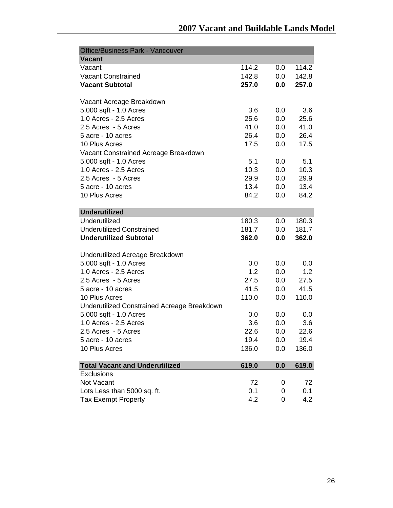| <b>Office/Business Park - Vancouver</b>     |       |         |       |
|---------------------------------------------|-------|---------|-------|
| <b>Vacant</b>                               |       |         |       |
| Vacant                                      | 114.2 | 0.0     | 114.2 |
| <b>Vacant Constrained</b>                   | 142.8 | 0.0     | 142.8 |
| <b>Vacant Subtotal</b>                      | 257.0 | 0.0     | 257.0 |
| Vacant Acreage Breakdown                    |       |         |       |
| 5,000 sqft - 1.0 Acres                      | 3.6   | 0.0     | 3.6   |
| 1.0 Acres - 2.5 Acres                       | 25.6  | 0.0     | 25.6  |
| 2.5 Acres - 5 Acres                         | 41.0  | 0.0     | 41.0  |
| 5 acre - 10 acres                           | 26.4  | 0.0     | 26.4  |
| 10 Plus Acres                               | 17.5  | 0.0     | 17.5  |
| Vacant Constrained Acreage Breakdown        |       |         |       |
| 5,000 sqft - 1.0 Acres                      | 5.1   | 0.0     | 5.1   |
| 1.0 Acres - 2.5 Acres                       | 10.3  | 0.0     | 10.3  |
| 2.5 Acres - 5 Acres                         | 29.9  | 0.0     | 29.9  |
| 5 acre - 10 acres                           | 13.4  | 0.0     | 13.4  |
| 10 Plus Acres                               | 84.2  | 0.0     | 84.2  |
|                                             |       |         |       |
| <b>Underutilized</b>                        |       |         |       |
| Underutilized                               | 180.3 | $0.0\,$ | 180.3 |
| <b>Underutilized Constrained</b>            | 181.7 | 0.0     | 181.7 |
| <b>Underutilized Subtotal</b>               | 362.0 | 0.0     | 362.0 |
|                                             |       |         |       |
| Underutilized Acreage Breakdown             |       |         |       |
| 5,000 sqft - 1.0 Acres                      | 0.0   | 0.0     | 0.0   |
| 1.0 Acres - 2.5 Acres                       | 1.2   | 0.0     | 1.2   |
| 2.5 Acres - 5 Acres                         | 27.5  | 0.0     | 27.5  |
| 5 acre - 10 acres                           | 41.5  | 0.0     | 41.5  |
| 10 Plus Acres                               | 110.0 | 0.0     | 110.0 |
| Underutilized Constrained Acreage Breakdown |       |         |       |
| 5,000 sqft - 1.0 Acres                      | 0.0   | 0.0     | 0.0   |
| 1.0 Acres - 2.5 Acres                       | 3.6   | 0.0     | 3.6   |
| 2.5 Acres - 5 Acres                         | 22.6  | 0.0     | 22.6  |
| 5 acre - 10 acres                           | 19.4  | 0.0     | 19.4  |
| 10 Plus Acres                               | 136.0 | 0.0     | 136.0 |
|                                             |       |         |       |
| <b>Total Vacant and Underutilized</b>       | 619.0 | 0.0     | 619.0 |
| <b>Exclusions</b>                           |       |         |       |
| Not Vacant                                  | 72    | 0       | 72    |
| Lots Less than 5000 sq. ft.                 | 0.1   | 0       | 0.1   |
| <b>Tax Exempt Property</b>                  | 4.2   | 0       | 4.2   |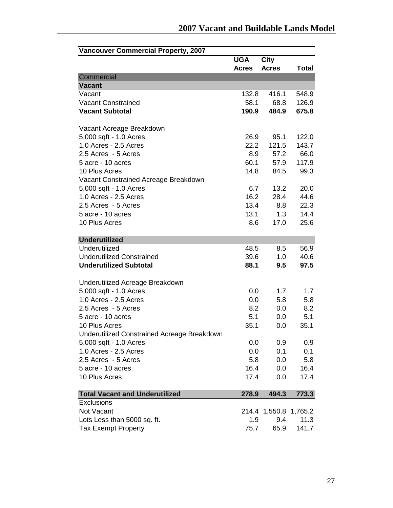| <b>Vancouver Commercial Property, 2007</b>         |              |                       |              |
|----------------------------------------------------|--------------|-----------------------|--------------|
|                                                    | <b>UGA</b>   | City                  |              |
|                                                    | <b>Acres</b> | <b>Acres</b>          | <b>Total</b> |
| Commercial                                         |              |                       |              |
| <b>Vacant</b>                                      |              |                       |              |
| Vacant                                             | 132.8        | 416.1                 | 548.9        |
| <b>Vacant Constrained</b>                          | 58.1         | 68.8                  | 126.9        |
| <b>Vacant Subtotal</b>                             | 190.9        | 484.9                 | 675.8        |
| Vacant Acreage Breakdown                           |              |                       |              |
| 5,000 sqft - 1.0 Acres                             | 26.9         | 95.1                  | 122.0        |
| 1.0 Acres - 2.5 Acres                              | 22.2         | 121.5                 | 143.7        |
| 2.5 Acres - 5 Acres                                | 8.9          | 57.2                  | 66.0         |
| 5 acre - 10 acres                                  | 60.1         | 57.9                  | 117.9        |
| 10 Plus Acres                                      | 14.8         | 84.5                  | 99.3         |
| Vacant Constrained Acreage Breakdown               |              |                       |              |
| 5,000 sqft - 1.0 Acres                             | 6.7          | 13.2                  | 20.0         |
| 1.0 Acres - 2.5 Acres                              | 16.2         | 28.4                  | 44.6         |
| 2.5 Acres - 5 Acres                                | 13.4         | 8.8                   | 22.3         |
| 5 acre - 10 acres                                  | 13.1         | 1.3                   | 14.4         |
| 10 Plus Acres                                      | 8.6          | 17.0                  | 25.6         |
|                                                    |              |                       |              |
| <b>Underutilized</b>                               |              |                       |              |
| Underutilized                                      | 48.5         | 8.5                   | 56.9         |
| <b>Underutilized Constrained</b>                   | 39.6         | 1.0                   | 40.6         |
| <b>Underutilized Subtotal</b>                      | 88.1         | 9.5                   | 97.5         |
| Underutilized Acreage Breakdown                    |              |                       |              |
| 5,000 sqft - 1.0 Acres                             | 0.0          | 1.7                   | 1.7          |
| 1.0 Acres - 2.5 Acres                              | 0.0          | 5.8                   | 5.8          |
| 2.5 Acres - 5 Acres                                | 8.2          | 0.0                   | 8.2          |
| 5 acre - 10 acres                                  | 5.1          | 0.0                   | 5.1          |
| 10 Plus Acres                                      | 35.1         | 0.0                   | 35.1         |
| <b>Underutilized Constrained Acreage Breakdown</b> |              |                       |              |
| 5,000 sqft - 1.0 Acres                             | 0.0          | 0.9                   | 0.9          |
| 1.0 Acres - 2.5 Acres                              | 0.0          | 0.1                   | 0.1          |
| 2.5 Acres - 5 Acres                                | 5.8          | 0.0                   | 5.8          |
| 5 acre - 10 acres                                  | 16.4         | 0.0                   | 16.4         |
| 10 Plus Acres                                      | 17.4         | 0.0                   | 17.4         |
|                                                    |              |                       |              |
| <b>Total Vacant and Underutilized</b>              | 278.9        | 494.3                 | 773.3        |
| <b>Exclusions</b>                                  |              |                       |              |
| Not Vacant                                         |              | 214.4 1,550.8 1,765.2 |              |
| Lots Less than 5000 sq. ft.                        | 1.9          | 9.4                   | 11.3         |
| <b>Tax Exempt Property</b>                         | 75.7         | 65.9                  | 141.7        |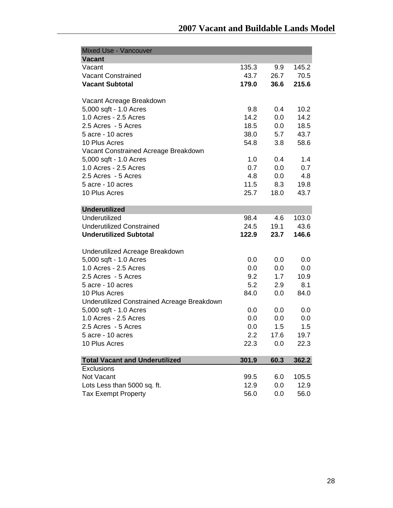| <b>Mixed Use - Vancouver</b>                |       |      |       |
|---------------------------------------------|-------|------|-------|
| <b>Vacant</b>                               |       |      |       |
| Vacant                                      | 135.3 | 9.9  | 145.2 |
| <b>Vacant Constrained</b>                   | 43.7  | 26.7 | 70.5  |
| <b>Vacant Subtotal</b>                      | 179.0 | 36.6 | 215.6 |
| Vacant Acreage Breakdown                    |       |      |       |
| 5,000 sqft - 1.0 Acres                      | 9.8   | 0.4  | 10.2  |
| 1.0 Acres - 2.5 Acres                       | 14.2  | 0.0  | 14.2  |
| 2.5 Acres - 5 Acres                         | 18.5  | 0.0  | 18.5  |
| 5 acre - 10 acres                           | 38.0  | 5.7  | 43.7  |
| 10 Plus Acres                               | 54.8  | 3.8  | 58.6  |
| Vacant Constrained Acreage Breakdown        |       |      |       |
| 5,000 sqft - 1.0 Acres                      | 1.0   | 0.4  | 1.4   |
| 1.0 Acres - 2.5 Acres                       | 0.7   | 0.0  | 0.7   |
| 2.5 Acres - 5 Acres                         | 4.8   | 0.0  | 4.8   |
| 5 acre - 10 acres                           | 11.5  | 8.3  | 19.8  |
| 10 Plus Acres                               | 25.7  | 18.0 | 43.7  |
|                                             |       |      |       |
| <b>Underutilized</b>                        |       |      |       |
| Underutilized                               | 98.4  | 4.6  | 103.0 |
| <b>Underutilized Constrained</b>            | 24.5  | 19.1 | 43.6  |
| <b>Underutilized Subtotal</b>               | 122.9 | 23.7 | 146.6 |
| Underutilized Acreage Breakdown             |       |      |       |
| 5,000 sqft - 1.0 Acres                      | 0.0   | 0.0  | 0.0   |
| 1.0 Acres - 2.5 Acres                       | 0.0   | 0.0  | 0.0   |
| 2.5 Acres - 5 Acres                         | 9.2   | 1.7  | 10.9  |
| 5 acre - 10 acres                           | 5.2   | 2.9  | 8.1   |
| 10 Plus Acres                               | 84.0  | 0.0  | 84.0  |
| Underutilized Constrained Acreage Breakdown |       |      |       |
| 5,000 sqft - 1.0 Acres                      | 0.0   | 0.0  | 0.0   |
| 1.0 Acres - 2.5 Acres                       | 0.0   | 0.0  | 0.0   |
| 2.5 Acres - 5 Acres                         | 0.0   | 1.5  | 1.5   |
| 5 acre - 10 acres                           | 2.2   | 17.6 | 19.7  |
| 10 Plus Acres                               | 22.3  | 0.0  | 22.3  |
|                                             |       |      |       |
| <b>Total Vacant and Underutilized</b>       | 301.9 | 60.3 | 362.2 |
| Exclusions                                  |       |      |       |
| Not Vacant                                  | 99.5  | 6.0  | 105.5 |
| Lots Less than 5000 sq. ft.                 | 12.9  | 0.0  | 12.9  |
| <b>Tax Exempt Property</b>                  | 56.0  | 0.0  | 56.0  |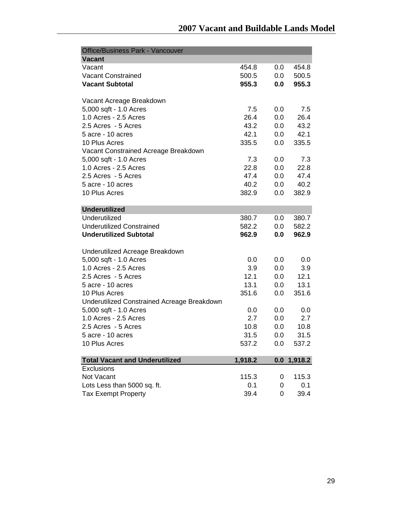| <b>Office/Business Park - Vancouver</b>     |         |     |         |
|---------------------------------------------|---------|-----|---------|
| <b>Vacant</b>                               |         |     |         |
| Vacant                                      | 454.8   | 0.0 | 454.8   |
| <b>Vacant Constrained</b>                   | 500.5   | 0.0 | 500.5   |
| <b>Vacant Subtotal</b>                      | 955.3   | 0.0 | 955.3   |
|                                             |         |     |         |
| Vacant Acreage Breakdown                    |         |     |         |
| 5,000 sqft - 1.0 Acres                      | 7.5     | 0.0 | 7.5     |
| 1.0 Acres - 2.5 Acres                       | 26.4    | 0.0 | 26.4    |
| 2.5 Acres - 5 Acres                         | 43.2    | 0.0 | 43.2    |
| 5 acre - 10 acres                           | 42.1    | 0.0 | 42.1    |
| 10 Plus Acres                               | 335.5   | 0.0 | 335.5   |
| Vacant Constrained Acreage Breakdown        |         |     |         |
| 5,000 sqft - 1.0 Acres                      | 7.3     | 0.0 | 7.3     |
| 1.0 Acres - 2.5 Acres                       | 22.8    | 0.0 | 22.8    |
| 2.5 Acres - 5 Acres                         | 47.4    | 0.0 | 47.4    |
| 5 acre - 10 acres                           | 40.2    | 0.0 | 40.2    |
| 10 Plus Acres                               | 382.9   | 0.0 | 382.9   |
|                                             |         |     |         |
| <b>Underutilized</b>                        |         |     |         |
| Underutilized                               | 380.7   | 0.0 | 380.7   |
| <b>Underutilized Constrained</b>            | 582.2   | 0.0 | 582.2   |
| <b>Underutilized Subtotal</b>               | 962.9   | 0.0 | 962.9   |
|                                             |         |     |         |
| Underutilized Acreage Breakdown             |         |     |         |
| 5,000 sqft - 1.0 Acres                      | 0.0     | 0.0 | 0.0     |
| 1.0 Acres - 2.5 Acres                       | 3.9     | 0.0 | 3.9     |
| 2.5 Acres - 5 Acres                         | 12.1    | 0.0 | 12.1    |
| 5 acre - 10 acres                           | 13.1    | 0.0 | 13.1    |
| 10 Plus Acres                               | 351.6   | 0.0 | 351.6   |
| Underutilized Constrained Acreage Breakdown |         |     |         |
| 5,000 sqft - 1.0 Acres                      | 0.0     | 0.0 | 0.0     |
| 1.0 Acres - 2.5 Acres                       | 2.7     | 0.0 | 2.7     |
| 2.5 Acres - 5 Acres                         | 10.8    | 0.0 | 10.8    |
| 5 acre - 10 acres                           | 31.5    | 0.0 | 31.5    |
| 10 Plus Acres                               | 537.2   | 0.0 | 537.2   |
|                                             |         |     |         |
| <b>Total Vacant and Underutilized</b>       | 1,918.2 | 0.0 | 1,918.2 |
| <b>Exclusions</b>                           |         |     |         |
| Not Vacant                                  | 115.3   | 0   | 115.3   |
| Lots Less than 5000 sq. ft.                 | 0.1     | 0   | 0.1     |
| <b>Tax Exempt Property</b>                  | 39.4    | 0   | 39.4    |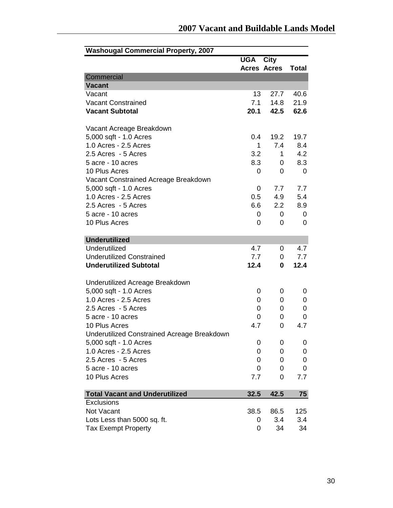| <b>UGA City</b>                                       |               |
|-------------------------------------------------------|---------------|
|                                                       |               |
| <b>Acres Acres</b>                                    | <b>Total</b>  |
| Commercial                                            |               |
| <b>Vacant</b>                                         |               |
| 13<br>Vacant<br>27.7                                  | 40.6          |
| 7.1<br><b>Vacant Constrained</b><br>14.8              | 21.9          |
| <b>Vacant Subtotal</b><br>20.1<br>42.5                | 62.6          |
| Vacant Acreage Breakdown                              |               |
| 5,000 sqft - 1.0 Acres<br>19.2<br>0.4                 | 19.7          |
| 1.0 Acres - 2.5 Acres<br>7.4<br>1                     | 8.4           |
| 2.5 Acres - 5 Acres<br>3.2                            | 4.2<br>1      |
| 5 acre - 10 acres<br>8.3                              | 8.3<br>0      |
| 10 Plus Acres<br>0                                    | 0<br>$\Omega$ |
| Vacant Constrained Acreage Breakdown                  |               |
| 5,000 sqft - 1.0 Acres<br>7.7<br>0                    | 7.7           |
| 1.0 Acres - 2.5 Acres<br>0.5<br>4.9                   | 5.4           |
| 2.5 Acres - 5 Acres<br>6.6<br>2.2                     | 8.9           |
| 5 acre - 10 acres<br>0                                | $\Omega$<br>0 |
| 10 Plus Acres<br>0                                    | 0<br>0        |
|                                                       |               |
| <b>Underutilized</b>                                  |               |
| Underutilized<br>4.7                                  | 4.7<br>0      |
| <b>Underutilized Constrained</b><br>7.7               | 7.7<br>0      |
| <b>Underutilized Subtotal</b><br>12.4                 | 12.4<br>0     |
| Underutilized Acreage Breakdown                       |               |
| 5,000 sqft - 1.0 Acres<br>0                           | 0<br>0        |
| 1.0 Acres - 2.5 Acres<br>0                            | 0<br>0        |
| 2.5 Acres - 5 Acres<br>0                              | 0<br>0        |
| 5 acre - 10 acres<br>0                                | 0<br>0        |
| 10 Plus Acres<br>4.7                                  | 0<br>4.7      |
| Underutilized Constrained Acreage Breakdown           |               |
| 5,000 sqft - 1.0 Acres<br>0                           | 0<br>0        |
| 1.0 Acres - 2.5 Acres<br>0                            | 0<br>0        |
| 2.5 Acres - 5 Acres<br>0                              | 0<br>0        |
| 5 acre - 10 acres<br>0                                | 0<br>0        |
| 10 Plus Acres<br>7.7                                  | 0<br>7.7      |
| 32.5<br>42.5<br><b>Total Vacant and Underutilized</b> | 75            |
| Exclusions                                            |               |
| Not Vacant<br>38.5<br>86.5                            | 125           |
| Lots Less than 5000 sq. ft.<br>3.4<br>0               | 3.4           |
| <b>Tax Exempt Property</b><br>0<br>34                 | 34            |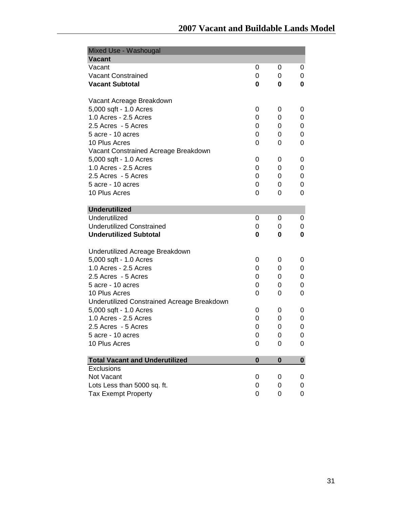| Mixed Use - Washougal                       |          |          |   |
|---------------------------------------------|----------|----------|---|
| <b>Vacant</b>                               |          |          |   |
| Vacant                                      | 0        | 0        | 0 |
| <b>Vacant Constrained</b>                   | 0        | 0        | 0 |
| <b>Vacant Subtotal</b>                      | 0        | 0        | 0 |
| Vacant Acreage Breakdown                    |          |          |   |
| 5,000 sqft - 1.0 Acres                      | 0        | 0        | 0 |
| 1.0 Acres - 2.5 Acres                       | 0        | 0        | 0 |
| 2.5 Acres - 5 Acres                         | 0        | 0        | 0 |
| 5 acre - 10 acres                           | 0        | 0        | 0 |
| 10 Plus Acres                               | 0        | 0        | 0 |
| Vacant Constrained Acreage Breakdown        |          |          |   |
| 5,000 sqft - 1.0 Acres                      | 0        | 0        | 0 |
| 1.0 Acres - 2.5 Acres                       | 0        | 0        | 0 |
| 2.5 Acres - 5 Acres                         | 0        | 0        | 0 |
| 5 acre - 10 acres                           | 0        | 0        | 0 |
| 10 Plus Acres                               | 0        | 0        | 0 |
| <b>Underutilized</b>                        |          |          |   |
| Underutilized                               | 0        | 0        | 0 |
| <b>Underutilized Constrained</b>            | 0        | 0        | 0 |
| <b>Underutilized Subtotal</b>               | 0        | 0        | 0 |
| Underutilized Acreage Breakdown             |          |          |   |
| 5,000 sqft - 1.0 Acres                      | 0        | 0        | 0 |
| 1.0 Acres - 2.5 Acres                       | 0        | 0        | 0 |
| 2.5 Acres - 5 Acres                         | 0        | 0        | 0 |
| 5 acre - 10 acres                           | 0        | 0        | 0 |
| 10 Plus Acres                               | 0        | 0        | 0 |
| Underutilized Constrained Acreage Breakdown |          |          |   |
| 5,000 sqft - 1.0 Acres                      | 0        | 0        | 0 |
| 1.0 Acres - 2.5 Acres                       | 0        | 0        | 0 |
| 2.5 Acres - 5 Acres                         | 0        | 0        | 0 |
| 5 acre - 10 acres                           | 0        | 0        | 0 |
| 10 Plus Acres                               | 0        | 0        | 0 |
| <b>Total Vacant and Underutilized</b>       | $\bf{0}$ | $\bf{0}$ | 0 |
| Exclusions                                  |          |          |   |
| Not Vacant                                  | 0        | 0        | 0 |
| Lots Less than 5000 sq. ft.                 | 0        | 0        | 0 |
| <b>Tax Exempt Property</b>                  | 0        | 0        | 0 |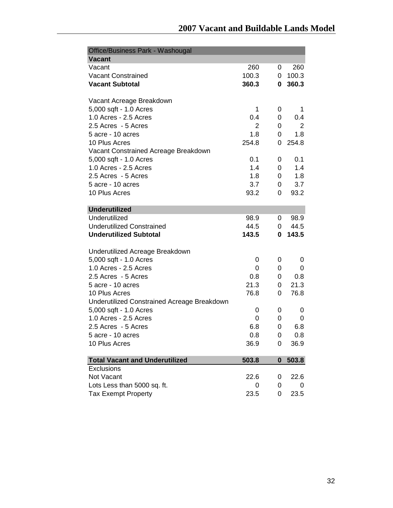| <b>Office/Business Park - Washougal</b>     |       |                  |       |
|---------------------------------------------|-------|------------------|-------|
| <b>Vacant</b>                               |       |                  |       |
| Vacant                                      | 260   | 0                | 260   |
| <b>Vacant Constrained</b>                   | 100.3 | 0                | 100.3 |
| <b>Vacant Subtotal</b>                      | 360.3 | 0                | 360.3 |
| Vacant Acreage Breakdown                    |       |                  |       |
| 5,000 sqft - 1.0 Acres                      | 1     | 0                | 1     |
| 1.0 Acres - 2.5 Acres                       | 0.4   | 0                | 0.4   |
| 2.5 Acres - 5 Acres                         | 2     | 0                | 2     |
| 5 acre - 10 acres                           | 1.8   | 0                | 1.8   |
| 10 Plus Acres                               | 254.8 | 0                | 254.8 |
| Vacant Constrained Acreage Breakdown        |       |                  |       |
| 5,000 sqft - 1.0 Acres                      | 0.1   | 0                | 0.1   |
| 1.0 Acres - 2.5 Acres                       | 1.4   | 0                | 1.4   |
| 2.5 Acres - 5 Acres                         | 1.8   | 0                | 1.8   |
| 5 acre - 10 acres                           | 3.7   | 0                | 3.7   |
| 10 Plus Acres                               | 93.2  | 0                | 93.2  |
|                                             |       |                  |       |
| <b>Underutilized</b>                        |       |                  |       |
| Underutilized                               | 98.9  | 0                | 98.9  |
| <b>Underutilized Constrained</b>            | 44.5  | 0                | 44.5  |
| <b>Underutilized Subtotal</b>               | 143.5 | 0                | 143.5 |
| Underutilized Acreage Breakdown             |       |                  |       |
| 5,000 sqft - 1.0 Acres                      | 0     | 0                | 0     |
| 1.0 Acres - 2.5 Acres                       | 0     | 0                | 0     |
| 2.5 Acres - 5 Acres                         | 0.8   | 0                | 0.8   |
| 5 acre - 10 acres                           | 21.3  | 0                | 21.3  |
| 10 Plus Acres                               | 76.8  | 0                | 76.8  |
| Underutilized Constrained Acreage Breakdown |       |                  |       |
| 5,000 sqft - 1.0 Acres                      | 0     | 0                | 0     |
| 1.0 Acres - 2.5 Acres                       | 0     | 0                | 0     |
| 2.5 Acres - 5 Acres                         | 6.8   | 0                | 6.8   |
| 5 acre - 10 acres                           | 0.8   | 0                | 0.8   |
| 10 Plus Acres                               | 36.9  | 0                | 36.9  |
| <b>Total Vacant and Underutilized</b>       | 503.8 | $\boldsymbol{0}$ | 503.8 |
| Exclusions                                  |       |                  |       |
| Not Vacant                                  | 22.6  | 0                | 22.6  |
| Lots Less than 5000 sq. ft.                 | 0     | 0                | 0     |
| <b>Tax Exempt Property</b>                  | 23.5  | 0                | 23.5  |
|                                             |       |                  |       |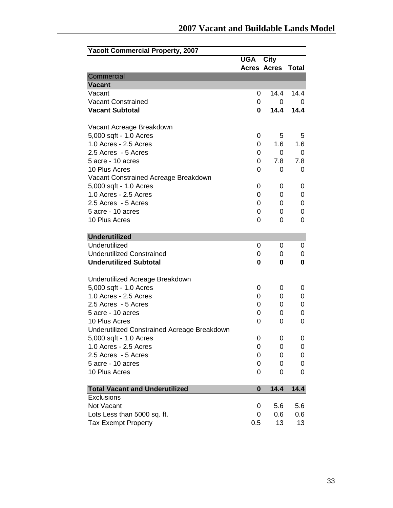| <b>Yacolt Commercial Property, 2007</b>     |                    |        |              |
|---------------------------------------------|--------------------|--------|--------------|
|                                             | <b>UGA City</b>    |        |              |
|                                             | <b>Acres Acres</b> |        | <b>Total</b> |
| Commercial                                  |                    |        |              |
| <b>Vacant</b>                               |                    |        |              |
| Vacant                                      | 0                  | 14.4   | 14.4         |
| <b>Vacant Constrained</b>                   | 0                  | 0      | 0            |
| <b>Vacant Subtotal</b>                      | 0                  | 14.4   | 14.4         |
| Vacant Acreage Breakdown                    |                    |        |              |
| 5,000 sqft - 1.0 Acres                      | 0                  | 5      | 5            |
| 1.0 Acres - 2.5 Acres                       | 0                  | 1.6    | 1.6          |
| 2.5 Acres - 5 Acres                         | 0                  | 0      | 0            |
| 5 acre - 10 acres                           | 0                  | 7.8    | 7.8          |
| 10 Plus Acres                               | 0                  | 0      | 0            |
| Vacant Constrained Acreage Breakdown        |                    |        |              |
| 5,000 sqft - 1.0 Acres                      | 0                  | 0      | 0            |
| 1.0 Acres - 2.5 Acres                       | 0                  | 0      | 0            |
| 2.5 Acres - 5 Acres                         | 0                  | 0      | 0            |
| 5 acre - 10 acres                           | 0                  | 0      | 0            |
| 10 Plus Acres                               | 0                  | 0      | 0            |
|                                             |                    |        |              |
| <b>Underutilized</b><br>Underutilized       |                    |        |              |
| <b>Underutilized Constrained</b>            | 0<br>0             | 0<br>0 | 0<br>0       |
| <b>Underutilized Subtotal</b>               | 0                  | 0      | 0            |
|                                             |                    |        |              |
| Underutilized Acreage Breakdown             |                    |        |              |
| 5,000 sqft - 1.0 Acres                      | 0                  | 0      | 0            |
| 1.0 Acres - 2.5 Acres                       | 0                  | 0      | 0            |
| 2.5 Acres - 5 Acres                         | 0                  | 0      | 0            |
| 5 acre - 10 acres                           | 0                  | 0      | 0            |
| 10 Plus Acres                               | 0                  | 0      | 0            |
| Underutilized Constrained Acreage Breakdown |                    |        |              |
| 5,000 sqft - 1.0 Acres                      | 0                  | 0      | 0            |
| 1.0 Acres - 2.5 Acres                       | 0                  | 0      | 0            |
| 2.5 Acres - 5 Acres                         | 0                  | 0      | 0            |
| 5 acre - 10 acres                           | 0                  | 0      | 0            |
| 10 Plus Acres                               | 0                  | 0      | 0            |
| <b>Total Vacant and Underutilized</b>       | $\bf{0}$           | 14.4   | 14.4         |
| Exclusions                                  |                    |        |              |
| Not Vacant                                  | 0                  | 5.6    | 5.6          |
| Lots Less than 5000 sq. ft.                 | 0                  | 0.6    | 0.6          |
| <b>Tax Exempt Property</b>                  | 0.5                | 13     | 13           |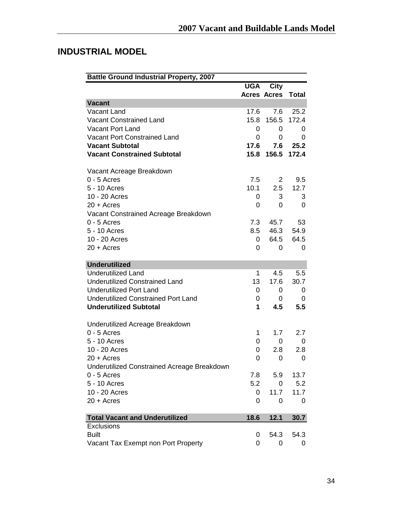## **INDUSTRIAL MODEL**

| <b>Battle Ground Industrial Property, 2007</b> |            |                          |          |
|------------------------------------------------|------------|--------------------------|----------|
|                                                | <b>UGA</b> | <b>City</b>              |          |
|                                                |            | <b>Acres Acres Total</b> |          |
| <b>Vacant</b>                                  |            |                          |          |
| Vacant Land                                    | 17.6       | 7.6                      | 25.2     |
| <b>Vacant Constrained Land</b>                 | 15.8       | 156.5                    | 172.4    |
| <b>Vacant Port Land</b>                        | 0          | 0                        | 0        |
| Vacant Port Constrained Land                   | 0          | 0                        | 0        |
| <b>Vacant Subtotal</b>                         | 17.6       |                          | 7.6 25.2 |
| <b>Vacant Constrained Subtotal</b>             | 15.8       | 156.5                    | 172.4    |
| Vacant Acreage Breakdown                       |            |                          |          |
| $0 - 5$ Acres                                  | 7.5        | $\overline{2}$           | 9.5      |
| 5 - 10 Acres                                   | 10.1       | 2.5                      | 12.7     |
| 10 - 20 Acres                                  | 0          | 3                        | 3        |
| $20 + A$ cres                                  | 0          | 0                        | 0        |
| Vacant Constrained Acreage Breakdown           |            |                          |          |
| $0 - 5$ Acres                                  | 7.3        | 45.7                     | 53       |
| 5 - 10 Acres                                   | 8.5        | 46.3                     | 54.9     |
| 10 - 20 Acres                                  | 0          | 64.5                     | 64.5     |
| $20 + A$ cres                                  | 0          | 0                        | 0        |
| <b>Underutilized</b>                           |            |                          |          |
| <b>Underutilized Land</b>                      | 1          | 4.5                      | 5.5      |
| <b>Underutilized Constrained Land</b>          | 13         | 17.6                     | 30.7     |
| <b>Underutilized Port Land</b>                 | 0          | 0                        | 0        |
| <b>Underutilized Constrained Port Land</b>     | 0          | 0                        | 0        |
| <b>Underutilized Subtotal</b>                  | 1          | 4.5                      | 5.5      |
| Underutilized Acreage Breakdown                |            |                          |          |
| $0 - 5$ Acres                                  | 1          | 1.7                      | 2.7      |
| 5 - 10 Acres                                   | 0          | 0                        | 0        |
| 10 - 20 Acres                                  | 0          | 2.8                      | 2.8      |
| $20 + A$ cres                                  | 0          | 0                        | 0        |
| Underutilized Constrained Acreage Breakdown    |            |                          |          |
| $0 - 5$ Acres                                  | 7.8        | 5.9                      | 13.7     |
| 5 - 10 Acres                                   | 5.2        | 0                        | 5.2      |
| 10 - 20 Acres                                  | 0          | 11.7                     | 11.7     |
| $20 +$ Acres                                   | 0          | 0                        | 0        |
| <b>Total Vacant and Underutilized</b>          | 18.6       | 12.1                     | 30.7     |
| <b>Exclusions</b>                              |            |                          |          |
| <b>Built</b>                                   | 0          | 54.3                     | 54.3     |
| Vacant Tax Exempt non Port Property            | 0          | 0                        | 0        |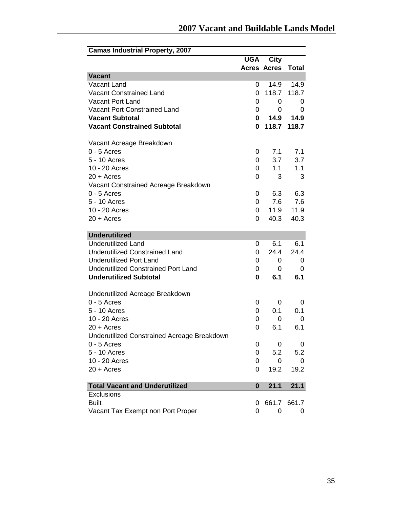| <b>Camas Industrial Property, 2007</b>      |            |                    |              |
|---------------------------------------------|------------|--------------------|--------------|
|                                             | <b>UGA</b> | <b>City</b>        |              |
|                                             |            | <b>Acres Acres</b> | <b>Total</b> |
| <b>Vacant</b>                               |            |                    |              |
| Vacant Land                                 | 0          | 14.9               | 14.9         |
| <b>Vacant Constrained Land</b>              | 0          | 118.7              | 118.7        |
| <b>Vacant Port Land</b>                     | 0          | 0                  | 0            |
| <b>Vacant Port Constrained Land</b>         | 0          | 0                  | 0            |
| <b>Vacant Subtotal</b>                      | 0          | 14.9               | 14.9         |
| <b>Vacant Constrained Subtotal</b>          | 0          | 118.7              | 118.7        |
| Vacant Acreage Breakdown                    |            |                    |              |
| $0 - 5$ Acres                               | 0          | 7.1                | 7.1          |
| 5 - 10 Acres                                | 0          | 3.7                | 3.7          |
| 10 - 20 Acres                               | 0          | 1.1                | 1.1          |
| 20 + Acres                                  | 0          | 3                  | 3            |
| Vacant Constrained Acreage Breakdown        |            |                    |              |
| $0 - 5$ Acres                               | 0          | 6.3                | 6.3          |
| 5 - 10 Acres                                | 0          | 7.6                | 7.6          |
| 10 - 20 Acres                               | 0          | 11.9               | 11.9         |
| $20 + A$ cres                               | 0          | 40.3               | 40.3         |
| <b>Underutilized</b>                        |            |                    |              |
| <b>Underutilized Land</b>                   | 0          | 6.1                | 6.1          |
| <b>Underutilized Constrained Land</b>       | 0          | 24.4               | 24.4         |
| <b>Underutilized Port Land</b>              | 0          | 0                  | 0            |
| <b>Underutilized Constrained Port Land</b>  | 0          | 0                  | 0            |
| <b>Underutilized Subtotal</b>               | 0          | 6.1                | 6.1          |
|                                             |            |                    |              |
| Underutilized Acreage Breakdown             |            |                    |              |
| $0 - 5$ Acres                               | 0          | 0                  | 0            |
| 5 - 10 Acres                                | 0          | 0.1                | 0.1          |
| 10 - 20 Acres                               | 0          | 0                  | 0            |
| $20 +$ Acres                                | 0          | 6.1                | 6.1          |
| Underutilized Constrained Acreage Breakdown |            |                    |              |
| $0 - 5$ Acres                               | 0          | 0                  | 0            |
| 5 - 10 Acres                                | 0          | 5.2                | 5.2          |
| 10 - 20 Acres                               | 0          | 0                  | 0            |
| $20 + A$ cres                               | 0          | 19.2               | 19.2         |
| <b>Total Vacant and Underutilized</b>       | $\bf{0}$   | 21.1               | 21.1         |
| Exclusions                                  |            |                    |              |
| <b>Built</b>                                | 0          |                    | 661.7 661.7  |
| Vacant Tax Exempt non Port Proper           | 0          | 0                  | 0            |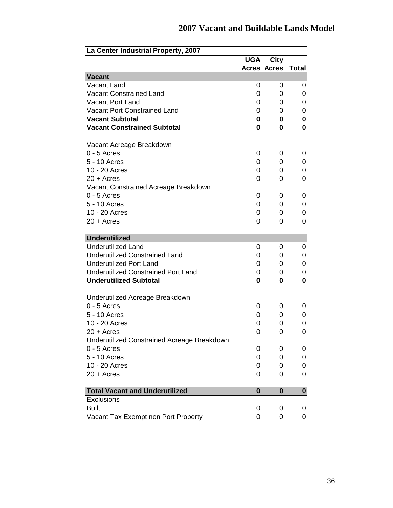| La Center Industrial Property, 2007                |            |                    |              |
|----------------------------------------------------|------------|--------------------|--------------|
|                                                    | <b>UGA</b> | <b>City</b>        |              |
|                                                    |            | <b>Acres Acres</b> | <b>Total</b> |
| <b>Vacant</b>                                      |            |                    |              |
| Vacant Land                                        | 0          | 0                  | 0            |
| <b>Vacant Constrained Land</b>                     | 0          | 0                  | 0            |
| Vacant Port Land                                   | 0          | 0                  | 0            |
| <b>Vacant Port Constrained Land</b>                | 0          | 0                  | 0            |
| <b>Vacant Subtotal</b>                             | 0          | 0                  | 0            |
| <b>Vacant Constrained Subtotal</b>                 | 0          | 0                  | 0            |
| Vacant Acreage Breakdown                           |            |                    |              |
| $0 - 5$ Acres                                      | 0          | 0                  | 0            |
| 5 - 10 Acres                                       | 0          | 0                  | 0            |
| 10 - 20 Acres                                      | 0          | 0                  | 0            |
| $20 +$ Acres                                       | 0          | 0                  | 0            |
| Vacant Constrained Acreage Breakdown               |            |                    |              |
| $0 - 5$ Acres                                      | 0          | 0                  | 0            |
| 5 - 10 Acres                                       | 0          | 0                  | 0            |
| 10 - 20 Acres                                      | 0          | 0                  | 0            |
| $20 + A$ cres                                      | 0          | 0                  | 0            |
| <b>Underutilized</b>                               |            |                    |              |
| <b>Underutilized Land</b>                          | 0          | 0                  | 0            |
| <b>Underutilized Constrained Land</b>              | 0          | 0                  | 0            |
| <b>Underutilized Port Land</b>                     | 0          | 0                  | 0            |
| <b>Underutilized Constrained Port Land</b>         | 0          | 0                  | 0            |
| <b>Underutilized Subtotal</b>                      | 0          | 0                  | $\bf{0}$     |
| Underutilized Acreage Breakdown                    |            |                    |              |
| $0 - 5$ Acres                                      | 0          | 0                  | 0            |
| 5 - 10 Acres                                       | 0          | 0                  | 0            |
| 10 - 20 Acres                                      | 0          | 0                  | 0            |
| $20 + A$ cres                                      | 0          | 0                  | 0            |
| <b>Underutilized Constrained Acreage Breakdown</b> |            |                    |              |
| $0 - 5$ Acres                                      | 0          | 0                  | 0            |
| 5 - 10 Acres                                       | 0          | 0                  | 0            |
| 10 - 20 Acres                                      | 0          | 0                  | 0            |
| $20 + A$ cres                                      | 0          | 0                  | 0            |
| <b>Total Vacant and Underutilized</b>              | $\bf{0}$   | 0                  | $\mathbf{0}$ |
| Exclusions                                         |            |                    |              |
| <b>Built</b>                                       | 0          | 0                  | 0            |
| Vacant Tax Exempt non Port Property                | 0          | 0                  | 0            |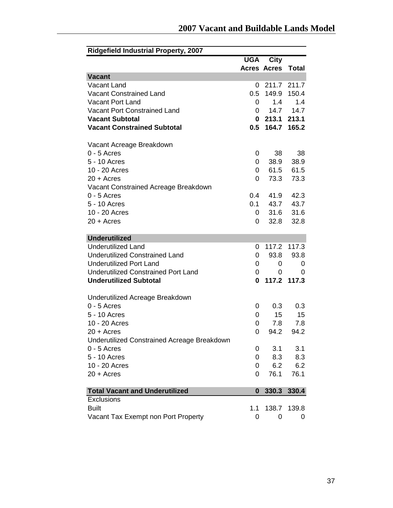| <b>Ridgefield Industrial Property, 2007</b> |              |                    |             |
|---------------------------------------------|--------------|--------------------|-------------|
|                                             | <b>UGA</b>   | City               |             |
|                                             |              | <b>Acres Acres</b> | Total       |
| <b>Vacant</b>                               |              |                    |             |
| Vacant Land                                 | 0            | 211.7 211.7        |             |
| <b>Vacant Constrained Land</b>              | 0.5          | 149.9              | 150.4       |
| <b>Vacant Port Land</b>                     | 0            | 1.4                | 1.4         |
| Vacant Port Constrained Land                | $\mathbf{0}$ | 14.7               | 14.7        |
| <b>Vacant Subtotal</b>                      |              | 0213.1             | 213.1       |
| <b>Vacant Constrained Subtotal</b>          | 0.5          | 164.7              | 165.2       |
| Vacant Acreage Breakdown                    |              |                    |             |
| $0 - 5$ Acres                               | 0            | 38                 | 38          |
| 5 - 10 Acres                                | 0            | 38.9               | 38.9        |
| 10 - 20 Acres                               | 0            | 61.5               | 61.5        |
| $20 + A$ cres                               | 0            | 73.3               | 73.3        |
| Vacant Constrained Acreage Breakdown        |              |                    |             |
| $0 - 5$ Acres                               | 0.4          | 41.9               | 42.3        |
| 5 - 10 Acres                                | 0.1          | 43.7               | 43.7        |
| 10 - 20 Acres                               | 0            | 31.6               | 31.6        |
| $20 + A$ cres                               | 0            | 32.8               | 32.8        |
| <b>Underutilized</b>                        |              |                    |             |
| <b>Underutilized Land</b>                   | 0            | 117.2              | 117.3       |
| <b>Underutilized Constrained Land</b>       | 0            | 93.8               | 93.8        |
| <b>Underutilized Port Land</b>              | 0            | 0                  | 0           |
| <b>Underutilized Constrained Port Land</b>  | 0            | 0                  | 0           |
| <b>Underutilized Subtotal</b>               | 0            |                    | 117.2 117.3 |
| Underutilized Acreage Breakdown             |              |                    |             |
| $0 - 5$ Acres                               | 0            | 0.3                | 0.3         |
| 5 - 10 Acres                                | 0            | 15                 | 15          |
| 10 - 20 Acres                               | 0            | 7.8                | 7.8         |
| $20 +$ Acres                                | 0            | 94.2               | 94.2        |
| Underutilized Constrained Acreage Breakdown |              |                    |             |
| $0 - 5$ Acres                               | 0            | 3.1                | 3.1         |
| 5 - 10 Acres                                | 0            | 8.3                | 8.3         |
| 10 - 20 Acres                               | 0            | 6.2                | 6.2         |
| $20 + A$ cres                               | 0            | 76.1               | 76.1        |
| <b>Total Vacant and Underutilized</b>       | 0            | 330.3              | 330.4       |
| Exclusions                                  |              |                    |             |
| <b>Built</b>                                | 1.1          | 138.7              | 139.8       |
| Vacant Tax Exempt non Port Property         | 0            | 0                  | 0           |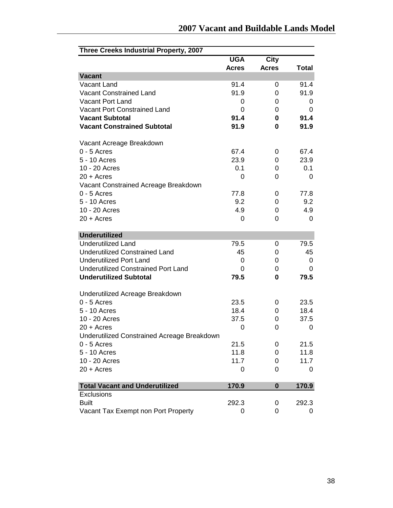| Three Creeks Industrial Property, 2007      |              |              |              |
|---------------------------------------------|--------------|--------------|--------------|
|                                             | <b>UGA</b>   | <b>City</b>  |              |
|                                             | <b>Acres</b> | <b>Acres</b> | <b>Total</b> |
| <b>Vacant</b>                               |              |              |              |
| Vacant Land                                 | 91.4         | 0            | 91.4         |
| Vacant Constrained Land                     | 91.9         | 0            | 91.9         |
| <b>Vacant Port Land</b>                     | 0            | 0            | 0            |
| Vacant Port Constrained Land                | 0            | 0            | 0            |
| <b>Vacant Subtotal</b>                      | 91.4         | 0            | 91.4         |
| <b>Vacant Constrained Subtotal</b>          | 91.9         | 0            | 91.9         |
| Vacant Acreage Breakdown                    |              |              |              |
| $0 - 5$ Acres                               | 67.4         | 0            | 67.4         |
| 5 - 10 Acres                                | 23.9         | 0            | 23.9         |
| 10 - 20 Acres                               | 0.1          | 0            | 0.1          |
| $20 +$ Acres                                | 0            | 0            | 0            |
| Vacant Constrained Acreage Breakdown        |              |              |              |
| $0 - 5$ Acres                               | 77.8         | 0            | 77.8         |
| 5 - 10 Acres                                | 9.2          | 0            | 9.2          |
| 10 - 20 Acres                               | 4.9          | 0            | 4.9          |
| $20 + A$ cres                               | 0            | 0            | 0            |
| <b>Underutilized</b>                        |              |              |              |
| <b>Underutilized Land</b>                   | 79.5         | 0            | 79.5         |
| <b>Underutilized Constrained Land</b>       | 45           | 0            | 45           |
| <b>Underutilized Port Land</b>              | 0            | 0            | 0            |
| <b>Underutilized Constrained Port Land</b>  | 0            | 0            | 0            |
| <b>Underutilized Subtotal</b>               | 79.5         | 0            | 79.5         |
| Underutilized Acreage Breakdown             |              |              |              |
| $0 - 5$ Acres                               | 23.5         | 0            | 23.5         |
| 5 - 10 Acres                                | 18.4         | 0            | 18.4         |
| 10 - 20 Acres                               | 37.5         | 0            | 37.5         |
| $20 + A$ cres                               | $\mathbf 0$  | 0            | 0            |
| Underutilized Constrained Acreage Breakdown |              |              |              |
| $0 - 5$ Acres                               | 21.5         | 0            | 21.5         |
| 5 - 10 Acres                                | 11.8         | 0            | 11.8         |
| 10 - 20 Acres                               | 11.7         | 0            | 11.7         |
| $20 + A$ cres                               | 0            | 0            | 0            |
| <b>Total Vacant and Underutilized</b>       | 170.9        | 0            | 170.9        |
| <b>Exclusions</b>                           |              |              |              |
| <b>Built</b>                                | 292.3        | 0            | 292.3        |
| Vacant Tax Exempt non Port Property         | 0            | 0            | 0            |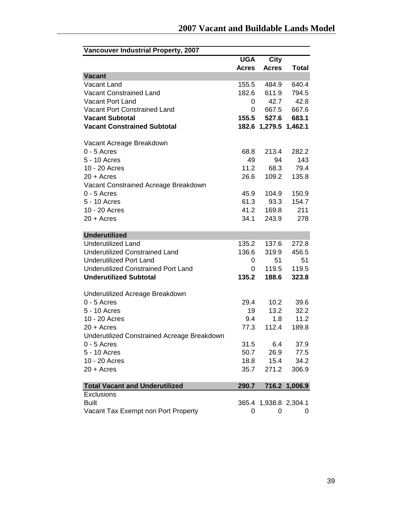| <b>Vancouver Industrial Property, 2007</b>          |              |                       |               |
|-----------------------------------------------------|--------------|-----------------------|---------------|
|                                                     | <b>UGA</b>   | <b>City</b>           |               |
|                                                     | <b>Acres</b> | <b>Acres</b>          | <b>Total</b>  |
| <b>Vacant</b>                                       |              |                       |               |
| Vacant Land                                         | 155.5        | 484.9                 | 640.4         |
| <b>Vacant Constrained Land</b>                      | 182.6        | 611.9                 | 794.5         |
| <b>Vacant Port Land</b>                             | 0            | 42.7                  | 42.8          |
| Vacant Port Constrained Land                        | 0            | 667.5                 | 667.6         |
| <b>Vacant Subtotal</b>                              | 155.5        | 527.6                 | 683.1         |
| <b>Vacant Constrained Subtotal</b>                  |              | 182.6 1,279.5 1,462.1 |               |
|                                                     |              |                       |               |
| Vacant Acreage Breakdown                            |              |                       |               |
| $0 - 5$ Acres                                       | 68.8         | 213.4                 | 282.2         |
| 5 - 10 Acres                                        | 49           | 94                    | 143           |
| 10 - 20 Acres                                       | 11.2         | 68.3                  | 79.4          |
| $20 + A$ cres                                       | 26.6         | 109.2                 | 135.8         |
| Vacant Constrained Acreage Breakdown                |              |                       |               |
| $0 - 5$ Acres                                       | 45.9         | 104.9                 | 150.9         |
| 5 - 10 Acres                                        | 61.3         | 93.3                  | 154.7         |
| 10 - 20 Acres                                       | 41.2         | 169.8                 | 211           |
| $20 + A$ cres                                       | 34.1         | 243.9                 | 278           |
| <b>Underutilized</b>                                |              |                       |               |
| <b>Underutilized Land</b>                           | 135.2        | 137.6                 | 272.8         |
| <b>Underutilized Constrained Land</b>               | 136.6        | 319.9                 | 456.5         |
| <b>Underutilized Port Land</b>                      | 0            | 51                    | 51            |
| <b>Underutilized Constrained Port Land</b>          | 0            | 119.5                 | 119.5         |
| <b>Underutilized Subtotal</b>                       | 135.2        | 188.6                 | 323.8         |
|                                                     |              |                       |               |
| Underutilized Acreage Breakdown                     |              |                       |               |
| $0 - 5$ Acres                                       | 29.4         | 10.2                  | 39.6          |
| 5 - 10 Acres                                        | 19           | 13.2                  | 32.2          |
| 10 - 20 Acres                                       | 9.4          | 1.8                   | 11.2          |
| $20 + A$ cres                                       | 77.3         | 112.4                 | 189.8         |
| Underutilized Constrained Acreage Breakdown         |              |                       |               |
| $0 - 5$ Acres                                       | 31.5         | 6.4                   | 37.9          |
| 5 - 10 Acres                                        | 50.7         | 26.9                  | 77.5          |
| 10 - 20 Acres                                       | 18.8         | 15.4                  | 34.2          |
| $20 + A$ cres                                       | 35.7         | 271.2                 | 306.9         |
|                                                     |              |                       |               |
| <b>Total Vacant and Underutilized</b><br>Exclusions | 290.7        |                       | 716.2 1,006.9 |
| <b>Built</b>                                        |              | 365.4 1,938.8 2,304.1 |               |
| Vacant Tax Exempt non Port Property                 | 0            | 0                     | 0             |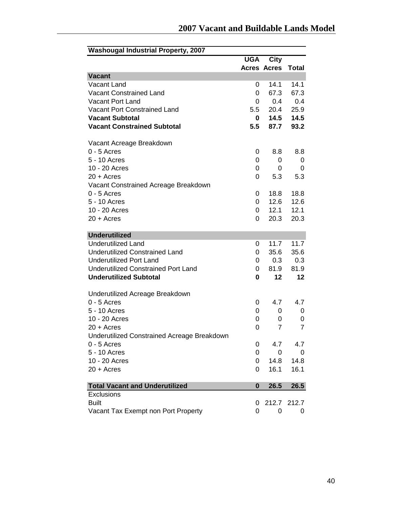| <b>Washougal Industrial Property, 2007</b>  |            |                    |                |
|---------------------------------------------|------------|--------------------|----------------|
|                                             | <b>UGA</b> | <b>City</b>        |                |
|                                             |            | <b>Acres Acres</b> | <b>Total</b>   |
| <b>Vacant</b>                               |            |                    |                |
| Vacant Land                                 | 0          | 14.1               | 14.1           |
| Vacant Constrained Land                     | 0          | 67.3               | 67.3           |
| <b>Vacant Port Land</b>                     | 0          | 0.4                | 0.4            |
| Vacant Port Constrained Land                | 5.5        | 20.4               | 25.9           |
| <b>Vacant Subtotal</b>                      | 0          | 14.5               | 14.5           |
| <b>Vacant Constrained Subtotal</b>          | 5.5        | 87.7               | 93.2           |
| Vacant Acreage Breakdown                    |            |                    |                |
| $0 - 5$ Acres                               | 0          | 8.8                | 8.8            |
| 5 - 10 Acres                                | 0          | 0                  | 0              |
| 10 - 20 Acres                               | 0          | 0                  | 0              |
| $20 +$ Acres                                | 0          | 5.3                | 5.3            |
| Vacant Constrained Acreage Breakdown        |            |                    |                |
| $0 - 5$ Acres                               | 0          | 18.8               | 18.8           |
| 5 - 10 Acres                                | 0          | 12.6               | 12.6           |
| 10 - 20 Acres                               | 0          | 12.1               | 12.1           |
| $20 + A$ cres                               | 0          | 20.3               | 20.3           |
| <b>Underutilized</b>                        |            |                    |                |
| <b>Underutilized Land</b>                   | 0          | 11.7               | 11.7           |
| <b>Underutilized Constrained Land</b>       | 0          | 35.6               | 35.6           |
| <b>Underutilized Port Land</b>              | 0          | 0.3                | 0.3            |
| <b>Underutilized Constrained Port Land</b>  | 0          | 81.9               | 81.9           |
| <b>Underutilized Subtotal</b>               | 0          | 12                 | 12             |
| Underutilized Acreage Breakdown             |            |                    |                |
| $0 - 5$ Acres                               | 0          | 4.7                | 4.7            |
| 5 - 10 Acres                                | 0          | 0                  | 0              |
| 10 - 20 Acres                               | 0          | 0                  | 0              |
| $20 + A$ cres                               | 0          | $\overline{7}$     | $\overline{7}$ |
| Underutilized Constrained Acreage Breakdown |            |                    |                |
| $0 - 5$ Acres                               | 0          | 4.7                | 4.7            |
| 5 - 10 Acres                                | 0          | 0                  | 0              |
| 10 - 20 Acres                               | 0          | 14.8               | 14.8           |
| $20 + A$ cres                               | 0          | 16.1               | 16.1           |
| <b>Total Vacant and Underutilized</b>       | 0          | 26.5               | 26.5           |
| Exclusions                                  |            |                    |                |
| <b>Built</b>                                | 0          |                    | 212.7 212.7    |
| Vacant Tax Exempt non Port Property         | 0          | 0                  | 0              |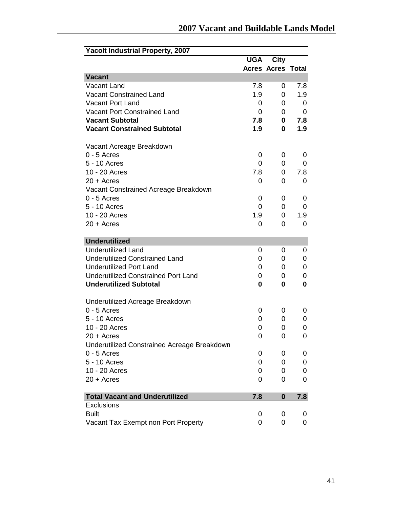| <b>Yacolt Industrial Property, 2007</b>               |            |                          |     |
|-------------------------------------------------------|------------|--------------------------|-----|
|                                                       | <b>UGA</b> | <b>City</b>              |     |
|                                                       |            | <b>Acres Acres Total</b> |     |
| <b>Vacant</b>                                         |            |                          |     |
| Vacant Land                                           | 7.8        | 0                        | 7.8 |
| <b>Vacant Constrained Land</b>                        | 1.9        | 0                        | 1.9 |
| <b>Vacant Port Land</b>                               | 0          | 0                        | 0   |
| <b>Vacant Port Constrained Land</b>                   | 0          | 0                        | 0   |
| <b>Vacant Subtotal</b>                                | 7.8        | 0                        | 7.8 |
| <b>Vacant Constrained Subtotal</b>                    | 1.9        | 0                        | 1.9 |
| Vacant Acreage Breakdown                              |            |                          |     |
| $0 - 5$ Acres                                         | 0          | 0                        | 0   |
| 5 - 10 Acres                                          | 0          | 0                        | 0   |
| 10 - 20 Acres                                         | 7.8        | 0                        | 7.8 |
| $20 + A$ cres                                         | 0          | 0                        | 0   |
|                                                       |            |                          |     |
| Vacant Constrained Acreage Breakdown<br>$0 - 5$ Acres | 0          | 0                        | 0   |
| 5 - 10 Acres                                          | 0          | 0                        | 0   |
| 10 - 20 Acres                                         | 1.9        | 0                        | 1.9 |
| $20 + A$ cres                                         | 0          | 0                        | 0   |
|                                                       |            |                          |     |
| <b>Underutilized</b>                                  |            |                          |     |
| <b>Underutilized Land</b>                             | 0          | 0                        | 0   |
| <b>Underutilized Constrained Land</b>                 | 0          | 0                        | 0   |
| <b>Underutilized Port Land</b>                        | 0          | 0                        | 0   |
| <b>Underutilized Constrained Port Land</b>            | 0          | 0                        | 0   |
| <b>Underutilized Subtotal</b>                         | 0          | 0                        | 0   |
|                                                       |            |                          |     |
| Underutilized Acreage Breakdown                       |            |                          |     |
| $0 - 5$ Acres                                         | 0          | 0                        | 0   |
| 5 - 10 Acres                                          | 0          | 0                        | 0   |
| 10 - 20 Acres                                         | 0          | 0                        | 0   |
| 20 + Acres                                            | 0          | 0                        | 0   |
| Underutilized Constrained Acreage Breakdown           |            |                          |     |
| $0 - 5$ Acres                                         | 0          | 0                        | 0   |
| 5 - 10 Acres                                          | 0          | 0                        | 0   |
| 10 - 20 Acres                                         | 0          | 0                        | 0   |
| $20 + A$ cres                                         | 0          | 0                        | 0   |
| <b>Total Vacant and Underutilized</b>                 | 7.8        | $\bf{0}$                 | 7.8 |
| <b>Exclusions</b>                                     |            |                          |     |
| <b>Built</b>                                          | 0          | 0                        | 0   |
| Vacant Tax Exempt non Port Property                   | 0          | 0                        | 0   |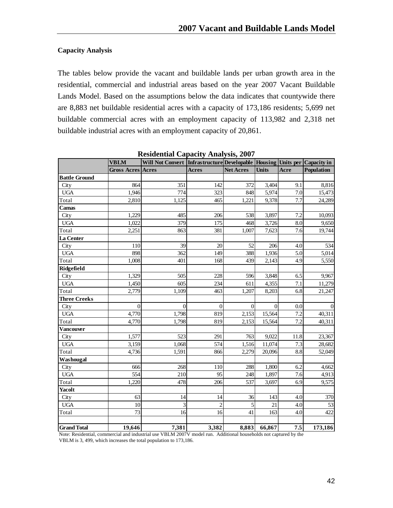## **Capacity Analysis**

The tables below provide the vacant and buildable lands per urban growth area in the residential, commercial and industrial areas based on the year 2007 Vacant Buildable Lands Model. Based on the assumptions below the data indicates that countywide there are 8,883 net buildable residential acres with a capacity of 173,186 residents; 5,699 net buildable commercial acres with an employment capacity of 113,982 and 2,318 net buildable industrial acres with an employment capacity of 20,861.

|                      | <b>VBLM</b>              | Will Not Convert   Infrastructure  Developable   Housing   Units per   Capacity in | -- <i>.,</i> -- |                  |              |      |            |
|----------------------|--------------------------|------------------------------------------------------------------------------------|-----------------|------------------|--------------|------|------------|
|                      | <b>Gross Acres Acres</b> |                                                                                    | <b>Acres</b>    | <b>Net Acres</b> | <b>Units</b> | Acre | Population |
| <b>Battle Ground</b> |                          |                                                                                    |                 |                  |              |      |            |
| City                 | 864                      | 351                                                                                | 142             | 372              | 3,404        | 9.1  | 8,816      |
| <b>UGA</b>           | 1,946                    | 774                                                                                | 323             | 848              | 5,974        | 7.0  | 15,473     |
| Total                | 2,810                    | 1,125                                                                              | 465             | 1,221            | 9,378        | 7.7  | 24,289     |
| Camas                |                          |                                                                                    |                 |                  |              |      |            |
| City                 | 1,229                    | 485                                                                                | 206             | 538              | 3,897        | 7.2  | 10,093     |
| <b>UGA</b>           | 1,022                    | 379                                                                                | 175             | 468              | 3,726        | 8.0  | 9,650      |
| Total                | 2,251                    | 863                                                                                | 381             | 1,007            | 7,623        | 7.6  | 19,744     |
| La Center            |                          |                                                                                    |                 |                  |              |      |            |
| City                 | 110                      | 39                                                                                 | 20              | 52               | 206          | 4.0  | 534        |
| <b>UGA</b>           | 898                      | 362                                                                                | 149             | 388              | 1,936        | 5.0  | 5,014      |
| Total                | 1,008                    | 401                                                                                | 168             | 439              | 2,143        | 4.9  | 5,550      |
| Ridgefield           |                          |                                                                                    |                 |                  |              |      |            |
| City                 | 1,329                    | 505                                                                                | 228             | 596              | 3,848        | 6.5  | 9,967      |
| <b>UGA</b>           | 1,450                    | 605                                                                                | 234             | 611              | 4,355        | 7.1  | 11,279     |
| Total                | 2,779                    | 1,109                                                                              | 463             | 1,207            | 8,203        | 6.8  | 21,247     |
| <b>Three Creeks</b>  |                          |                                                                                    |                 |                  |              |      |            |
| City                 | $\overline{0}$           | $\Omega$                                                                           | $\overline{0}$  | $\overline{0}$   | $\theta$     | 0.0  | $\vert$ 0  |
| <b>UGA</b>           | 4,770                    | 1,798                                                                              | 819             | 2,153            | 15,564       | 7.2  | 40,311     |
| Total                | 4,770                    | 1,798                                                                              | 819             | 2,153            | 15,564       | 7.2  | 40,311     |
| <b>Vancouver</b>     |                          |                                                                                    |                 |                  |              |      |            |
| City                 | 1,577                    | 523                                                                                | 291             | 763              | 9,022        | 11.8 | 23,367     |
| <b>UGA</b>           | 3,159                    | 1,068                                                                              | 574             | 1,516            | 11,074       | 7.3  | 28,682     |
| Total                | 4,736                    | 1,591                                                                              | 866             | 2,279            | 20,096       | 8.8  | 52,049     |
| Washougal            |                          |                                                                                    |                 |                  |              |      |            |
| City                 | 666                      | 268                                                                                | 110             | 288              | 1,800        | 6.2  | 4,662      |
| <b>UGA</b>           | 554                      | 210                                                                                | 95              | 248              | 1,897        | 7.6  | 4,913      |
| Total                | 1,220                    | 478                                                                                | 206             | 537              | 3,697        | 6.9  | 9,575      |
| <b>Yacolt</b>        |                          |                                                                                    |                 |                  |              |      |            |
| City                 | 63                       | 14                                                                                 | 14              | 36               | 143          | 4.0  | 370        |
| <b>UGA</b>           | 10                       | 3                                                                                  | $\overline{2}$  | $\mathfrak{S}$   | 21           | 4.0  | 53         |
| Total                | 73                       | 16                                                                                 | 16              | 41               | 163          | 4.0  | 422        |
| <b>Grand Total</b>   | 19,646                   | 7,381                                                                              | 3,382           | 8,883            | 66,867       | 7.5  | 173,186    |

**Residential Capacity Analysis, 2007** 

 Note: Residential, commercial and industrial use VBLM 2007V model run. Additional households not captured by the VBLM is 3, 499, which increases the total population to 173,186.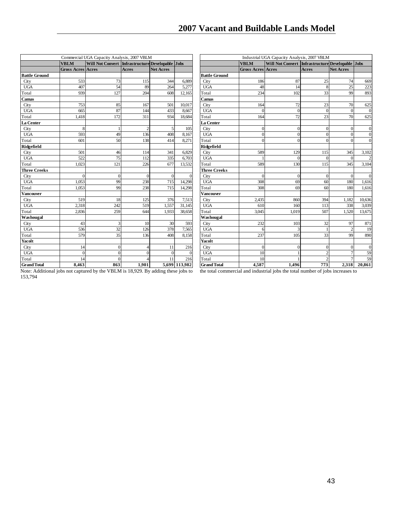|                      |                                         | Commercial UGA Capacity Analysis, 2007 VBLM          |                |                  |               |                      | Industrial UGA Capacity Analysis, 2007 VBLM<br>Will Not Convert Infrastructure Developable Jobs |              |                 |                  |                |
|----------------------|-----------------------------------------|------------------------------------------------------|----------------|------------------|---------------|----------------------|-------------------------------------------------------------------------------------------------|--------------|-----------------|------------------|----------------|
|                      | <b>VBLM</b><br><b>Gross Acres Acres</b> | Will Not Convert   Infrastructure Developable   Jobs | <b>Acres</b>   | <b>Net Acres</b> |               |                      | <b>VBLM</b><br><b>Gross Acres Acres</b>                                                         |              | <b>Acres</b>    | <b>Net Acres</b> |                |
|                      |                                         |                                                      |                |                  |               |                      |                                                                                                 |              |                 |                  |                |
| <b>Battle Ground</b> |                                         |                                                      |                |                  |               | <b>Battle Ground</b> |                                                                                                 |              |                 |                  |                |
| City                 | 533                                     | 73                                                   | 115            | 344              | 6,889         | City                 | 186                                                                                             | 87           | 25              | 74               | 669            |
| <b>UGA</b>           | 407                                     | 54                                                   | 89             | 264              | 5,277         | <b>UGA</b>           | 48                                                                                              | 14           | 8               | 25               | 223            |
| Total                | 939                                     | 127                                                  | 204            | 608              | 12,165        | Total                | 234                                                                                             | 102          | 33              | 99               | 893            |
| Camas                |                                         |                                                      |                |                  |               | Camas                |                                                                                                 |              |                 |                  |                |
| City                 | 753                                     | 85                                                   | 167            | 501              | 10,017        | City                 | 164                                                                                             | 72           | 23              | 70               | 625            |
| <b>UGA</b>           | 665                                     | 87                                                   | 144            | 433              | 8,667         | <b>UGA</b>           | $\Omega$                                                                                        | $\mathbf{0}$ | $\vert 0 \vert$ | $\Omega$         | $\mathbf 0$    |
| Total                | 1,418                                   | 172                                                  | 311            | 934              | 18,684        | Total                | 164                                                                                             | 72           | 23              | 70               | 625            |
| <b>La Center</b>     |                                         |                                                      |                |                  |               | La Center            |                                                                                                 |              |                 |                  |                |
| City                 | 8                                       |                                                      | $\mathfrak{D}$ | 5                | 105           | City                 | $\mathbf{0}$                                                                                    | $\mathbf{0}$ | $\overline{0}$  | $\Omega$         | $\mathbf 0$    |
| <b>UGA</b>           | 593                                     | 49                                                   | 136            | 408              | 8,167         | <b>UGA</b>           | $\overline{0}$                                                                                  | $\theta$     | $\Omega$        | $\Omega$         | $\overline{0}$ |
| Total                | 601                                     | 50                                                   | 138            | 414              | 8,271         | Total                | $\theta$                                                                                        | $\theta$     | $\Omega$        | $\Omega$         | $\overline{0}$ |
| Ridgefield           |                                         |                                                      |                |                  |               | Ridgefield           |                                                                                                 |              |                 |                  |                |
| City                 | 501                                     | 46                                                   | 114            | 341              | 6,829         | City                 | 589                                                                                             | 129          | 115             | 345              | 3,102          |
| <b>UGA</b>           | 522                                     | 75                                                   | 112            | 335              | 6,703         | <b>UGA</b>           |                                                                                                 | $\Omega$     | $\Omega$        | $\Omega$         | $\overline{c}$ |
| Total                | 1,023                                   | 121                                                  | 226            | 677              | 13,532        | Total                | 589                                                                                             | 130          | 115             | 345              | 3,104          |
| <b>Three Creeks</b>  |                                         |                                                      |                |                  |               | <b>Three Creeks</b>  |                                                                                                 |              |                 |                  |                |
| City                 | $\Omega$                                | $\Omega$                                             | $\Omega$       | $\Omega$         |               | City                 | $\Omega$                                                                                        | $\theta$     | $\vert$ 0       | $\Omega$         | $\mathbf 0$    |
| <b>UGA</b>           | 1,053                                   | 99                                                   | 238            | 715              | 14,298        | <b>UGA</b>           | 308                                                                                             | 69           | 60              | 180              | 1,616          |
| Total                | 1.053                                   | 99                                                   | 238            | 715              | 14,298        | Total                | 308                                                                                             | 69           | 60              | 180              | 1,616          |
| Vancouver            |                                         |                                                      |                |                  |               | Vancouver            |                                                                                                 |              |                 |                  |                |
| City                 | 519                                     | 18                                                   | 125            | 376              | 7,513         | City                 | 2,435                                                                                           | 860          | 394             | 1,182            | 10,636         |
| <b>UGA</b>           | 2,318                                   | 242                                                  | 519            | 1,557            | 31,145        | <b>UGA</b>           | 610                                                                                             | 160          | 113             | 338              | 3,039          |
| Total                | 2,836                                   | 259                                                  | 644            | 1,933            | 38,658        | Total                | 3,045                                                                                           | 1,019        | 507             | 1,520            | 13,675         |
| Washougal            |                                         |                                                      |                |                  |               | Washougal            |                                                                                                 |              |                 |                  |                |
| City                 | 43                                      | 3                                                    | 10             | 30               | 593           | City                 | 232                                                                                             | 103          | 32              | 97               | 871            |
| <b>UGA</b>           | 536                                     | 32                                                   | 126            | 378              | 7,565         | <b>UGA</b>           | 6                                                                                               | 3            |                 | $\mathcal{D}$    | 19             |
| Total                | 579                                     | 35                                                   | 136            | 408              | 8,158         | Total                | 237                                                                                             | 105          | 33              | 99               | 890            |
| Yacolt               |                                         |                                                      |                |                  |               | Yacolt               |                                                                                                 |              |                 |                  |                |
| City                 | 14                                      | $\Omega$                                             |                | 11               | 216           | City                 | $\mathbf{0}$                                                                                    | $\mathbf{0}$ | $\Omega$        | $\Omega$         | $\mathbf 0$    |
| <b>UGA</b>           | $\mathbf{0}$                            | $\Omega$                                             | $\Omega$       | $\overline{0}$   | $\Omega$      | <b>UGA</b>           | 10                                                                                              |              | $\overline{2}$  |                  | 59             |
| Total                | 14                                      | $\Omega$                                             |                | 11               | 216           | Total                | 10                                                                                              |              |                 |                  | 59             |
| <b>Grand Total</b>   | 8,463                                   | 863                                                  | 1,901          |                  | 5,699 113,982 | <b>Grand Total</b>   | 4,587                                                                                           | 1,496        | 773             | 2,318            | 20,861         |

Note: Additional jobs not captured by the VBLM is 18,929. By adding these jobs to the total commercial and industrial jobs the total number of jobs increases to 153,794